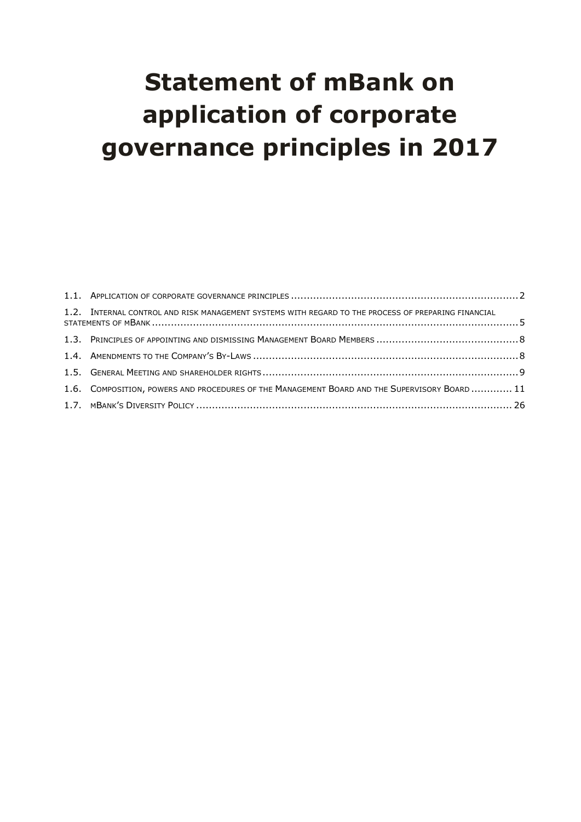# **Statement of mBank on application of corporate governance principles in 2017**

| 1.2. INTERNAL CONTROL AND RISK MANAGEMENT SYSTEMS WITH REGARD TO THE PROCESS OF PREPARING FINANCIAL |  |
|-----------------------------------------------------------------------------------------------------|--|
|                                                                                                     |  |
|                                                                                                     |  |
|                                                                                                     |  |
| 1.6. COMPOSITION, POWERS AND PROCEDURES OF THE MANAGEMENT BOARD AND THE SUPERVISORY BOARD  11       |  |
|                                                                                                     |  |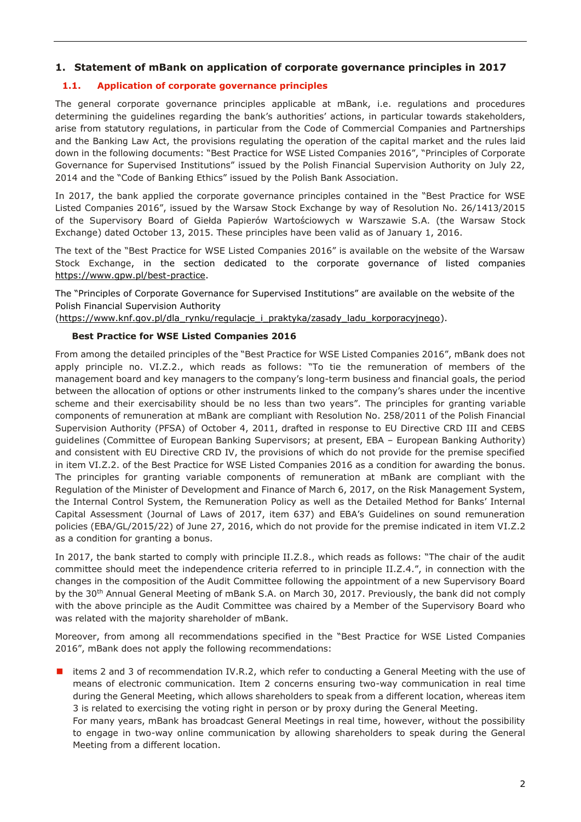# **1. Statement of mBank on application of corporate governance principles in 2017**

# <span id="page-1-0"></span>**1.1. Application of corporate governance principles**

The general corporate governance principles applicable at mBank, i.e. regulations and procedures determining the guidelines regarding the bank's authorities' actions, in particular towards stakeholders, arise from statutory regulations, in particular from the Code of Commercial Companies and Partnerships and the Banking Law Act, the provisions regulating the operation of the capital market and the rules laid down in the following documents: "Best Practice for WSE Listed Companies 2016", "Principles of Corporate Governance for Supervised Institutions" issued by the Polish Financial Supervision Authority on July 22, 2014 and the "Code of Banking Ethics" issued by the Polish Bank Association.

In 2017, the bank applied the corporate governance principles contained in the "Best Practice for WSE Listed Companies 2016", issued by the Warsaw Stock Exchange by way of Resolution No. 26/1413/2015 of the Supervisory Board of Giełda Papierów Wartościowych w Warszawie S.A. (the Warsaw Stock Exchange) dated October 13, 2015. These principles have been valid as of January 1, 2016.

The text of the "Best Practice for WSE Listed Companies 2016" is available on the website of the Warsaw Stock Exchange, in the section dedicated to the corporate governance of listed companies [https://www.gpw.pl/best-practice.](https://www.gpw.pl/best-practice)

The "Principles of Corporate Governance for Supervised Institutions" are available on the website of the Polish Financial Supervision Authority

[\(https://www.knf.gov.pl/dla\\_rynku/regulacje\\_i\\_praktyka/zasady\\_ladu\\_korporacyjnego\)](https://www.knf.gov.pl/dla_rynku/regulacje_i_praktyka/zasady_ladu_korporacyjnego).

## **Best Practice for WSE Listed Companies 2016**

From among the detailed principles of the "Best Practice for WSE Listed Companies 2016", mBank does not apply principle no. VI.Z.2., which reads as follows: "To tie the remuneration of members of the management board and key managers to the company's long-term business and financial goals, the period between the allocation of options or other instruments linked to the company's shares under the incentive scheme and their exercisability should be no less than two years". The principles for granting variable components of remuneration at mBank are compliant with Resolution No. 258/2011 of the Polish Financial Supervision Authority (PFSA) of October 4, 2011, drafted in response to EU Directive CRD III and CEBS guidelines (Committee of European Banking Supervisors; at present, EBA – European Banking Authority) and consistent with EU Directive CRD IV, the provisions of which do not provide for the premise specified in item VI.Z.2. of the Best Practice for WSE Listed Companies 2016 as a condition for awarding the bonus. The principles for granting variable components of remuneration at mBank are compliant with the Regulation of the Minister of Development and Finance of March 6, 2017, on the Risk Management System, the Internal Control System, the Remuneration Policy as well as the Detailed Method for Banks' Internal Capital Assessment (Journal of Laws of 2017, item 637) and EBA's Guidelines on sound remuneration policies (EBA/GL/2015/22) of June 27, 2016, which do not provide for the premise indicated in item VI.Z.2 as a condition for granting a bonus.

In 2017, the bank started to comply with principle II.Z.8., which reads as follows: "The chair of the audit committee should meet the independence criteria referred to in principle II.Z.4.", in connection with the changes in the composition of the Audit Committee following the appointment of a new Supervisory Board by the 30<sup>th</sup> Annual General Meeting of mBank S.A. on March 30, 2017. Previously, the bank did not comply with the above principle as the Audit Committee was chaired by a Member of the Supervisory Board who was related with the majority shareholder of mBank.

Moreover, from among all recommendations specified in the "Best Practice for WSE Listed Companies 2016", mBank does not apply the following recommendations:

**I** items 2 and 3 of recommendation IV.R.2, which refer to conducting a General Meeting with the use of means of electronic communication. Item 2 concerns ensuring two-way communication in real time during the General Meeting, which allows shareholders to speak from a different location, whereas item 3 is related to exercising the voting right in person or by proxy during the General Meeting.

For many years, mBank has broadcast General Meetings in real time, however, without the possibility to engage in two-way online communication by allowing shareholders to speak during the General Meeting from a different location.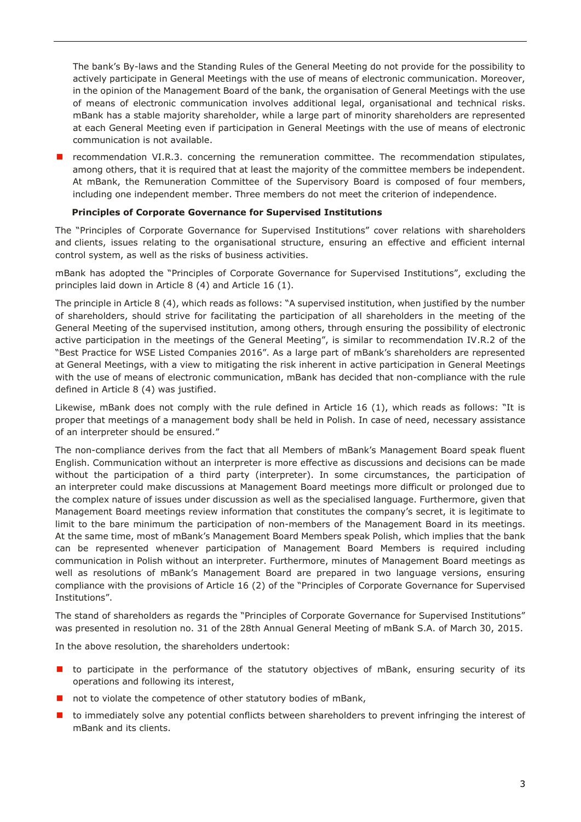The bank's By-laws and the Standing Rules of the General Meeting do not provide for the possibility to actively participate in General Meetings with the use of means of electronic communication. Moreover, in the opinion of the Management Board of the bank, the organisation of General Meetings with the use of means of electronic communication involves additional legal, organisational and technical risks. mBank has a stable majority shareholder, while a large part of minority shareholders are represented at each General Meeting even if participation in General Meetings with the use of means of electronic communication is not available.

 $\blacksquare$  recommendation VI.R.3. concerning the remuneration committee. The recommendation stipulates, among others, that it is required that at least the majority of the committee members be independent. At mBank, the Remuneration Committee of the Supervisory Board is composed of four members, including one independent member. Three members do not meet the criterion of independence.

## **Principles of Corporate Governance for Supervised Institutions**

The "Principles of Corporate Governance for Supervised Institutions" cover relations with shareholders and clients, issues relating to the organisational structure, ensuring an effective and efficient internal control system, as well as the risks of business activities.

mBank has adopted the "Principles of Corporate Governance for Supervised Institutions", excluding the principles laid down in Article 8 (4) and Article 16 (1).

The principle in Article 8 (4), which reads as follows: "A supervised institution, when justified by the number of shareholders, should strive for facilitating the participation of all shareholders in the meeting of the General Meeting of the supervised institution, among others, through ensuring the possibility of electronic active participation in the meetings of the General Meeting", is similar to recommendation IV.R.2 of the "Best Practice for WSE Listed Companies 2016". As a large part of mBank's shareholders are represented at General Meetings, with a view to mitigating the risk inherent in active participation in General Meetings with the use of means of electronic communication, mBank has decided that non-compliance with the rule defined in Article 8 (4) was justified.

Likewise, mBank does not comply with the rule defined in Article 16 (1), which reads as follows: "It is proper that meetings of a management body shall be held in Polish. In case of need, necessary assistance of an interpreter should be ensured."

The non-compliance derives from the fact that all Members of mBank's Management Board speak fluent English. Communication without an interpreter is more effective as discussions and decisions can be made without the participation of a third party (interpreter). In some circumstances, the participation of an interpreter could make discussions at Management Board meetings more difficult or prolonged due to the complex nature of issues under discussion as well as the specialised language. Furthermore, given that Management Board meetings review information that constitutes the company's secret, it is legitimate to limit to the bare minimum the participation of non-members of the Management Board in its meetings. At the same time, most of mBank's Management Board Members speak Polish, which implies that the bank can be represented whenever participation of Management Board Members is required including communication in Polish without an interpreter. Furthermore, minutes of Management Board meetings as well as resolutions of mBank's Management Board are prepared in two language versions, ensuring compliance with the provisions of Article 16 (2) of the "Principles of Corporate Governance for Supervised Institutions".

The stand of shareholders as regards the "Principles of Corporate Governance for Supervised Institutions" was presented in resolution no. 31 of the 28th Annual General Meeting of mBank S.A. of March 30, 2015.

In the above resolution, the shareholders undertook:

- **to** participate in the performance of the statutory objectives of mBank, ensuring security of its operations and following its interest,
- not to violate the competence of other statutory bodies of mBank,
- to immediately solve any potential conflicts between shareholders to prevent infringing the interest of mBank and its clients.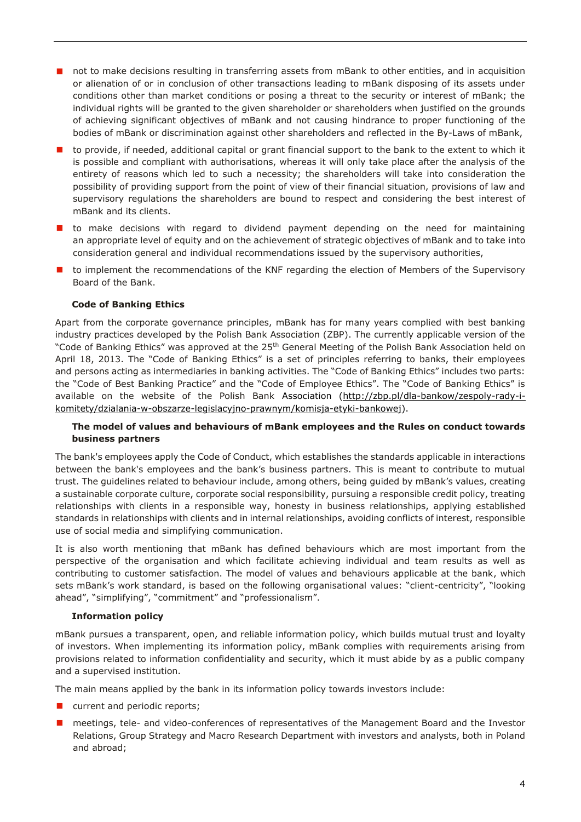- not to make decisions resulting in transferring assets from mBank to other entities, and in acquisition or alienation of or in conclusion of other transactions leading to mBank disposing of its assets under conditions other than market conditions or posing a threat to the security or interest of mBank; the individual rights will be granted to the given shareholder or shareholders when justified on the grounds of achieving significant objectives of mBank and not causing hindrance to proper functioning of the bodies of mBank or discrimination against other shareholders and reflected in the By-Laws of mBank,
- to provide, if needed, additional capital or grant financial support to the bank to the extent to which it is possible and compliant with authorisations, whereas it will only take place after the analysis of the entirety of reasons which led to such a necessity; the shareholders will take into consideration the possibility of providing support from the point of view of their financial situation, provisions of law and supervisory regulations the shareholders are bound to respect and considering the best interest of mBank and its clients.
- **If** to make decisions with regard to dividend payment depending on the need for maintaining an appropriate level of equity and on the achievement of strategic objectives of mBank and to take into consideration general and individual recommendations issued by the supervisory authorities,
- **n** to implement the recommendations of the KNF regarding the election of Members of the Supervisory Board of the Bank.

## **Code of Banking Ethics**

Apart from the corporate governance principles, mBank has for many years complied with best banking industry practices developed by the Polish Bank Association (ZBP). The currently applicable version of the "Code of Banking Ethics" was approved at the 25<sup>th</sup> General Meeting of the Polish Bank Association held on April 18, 2013. The "Code of Banking Ethics" is a set of principles referring to banks, their employees and persons acting as intermediaries in banking activities. The "Code of Banking Ethics" includes two parts: the "Code of Best Banking Practice" and the "Code of Employee Ethics". The "Code of Banking Ethics" is available on the website of the Polish Bank Association [\(http://zbp.pl/dla-bankow/zespoly-rady-i](http://zbp.pl/dla-bankow/zespoly-rady-i-komitety/dzialania-w-obszarze-legislacyjno-prawnym/komisja-etyki-bankowej)[komitety/dzialania-w-obszarze-legislacyjno-prawnym/komisja-etyki-bankowej\)](http://zbp.pl/dla-bankow/zespoly-rady-i-komitety/dzialania-w-obszarze-legislacyjno-prawnym/komisja-etyki-bankowej).

## **The model of values and behaviours of mBank employees and the Rules on conduct towards business partners**

The bank's employees apply the Code of Conduct, which establishes the standards applicable in interactions between the bank's employees and the bank's business partners. This is meant to contribute to mutual trust. The guidelines related to behaviour include, among others, being guided by mBank's values, creating a sustainable corporate culture, corporate social responsibility, pursuing a responsible credit policy, treating relationships with clients in a responsible way, honesty in business relationships, applying established standards in relationships with clients and in internal relationships, avoiding conflicts of interest, responsible use of social media and simplifying communication.

It is also worth mentioning that mBank has defined behaviours which are most important from the perspective of the organisation and which facilitate achieving individual and team results as well as contributing to customer satisfaction. The model of values and behaviours applicable at the bank, which sets mBank's work standard, is based on the following organisational values: "client-centricity", "looking ahead", "simplifying", "commitment" and "professionalism".

#### **Information policy**

mBank pursues a transparent, open, and reliable information policy, which builds mutual trust and loyalty of investors. When implementing its information policy, mBank complies with requirements arising from provisions related to information confidentiality and security, which it must abide by as a public company and a supervised institution.

The main means applied by the bank in its information policy towards investors include:

- **E** current and periodic reports;
- **n** meetings, tele- and video-conferences of representatives of the Management Board and the Investor Relations, Group Strategy and Macro Research Department with investors and analysts, both in Poland and abroad;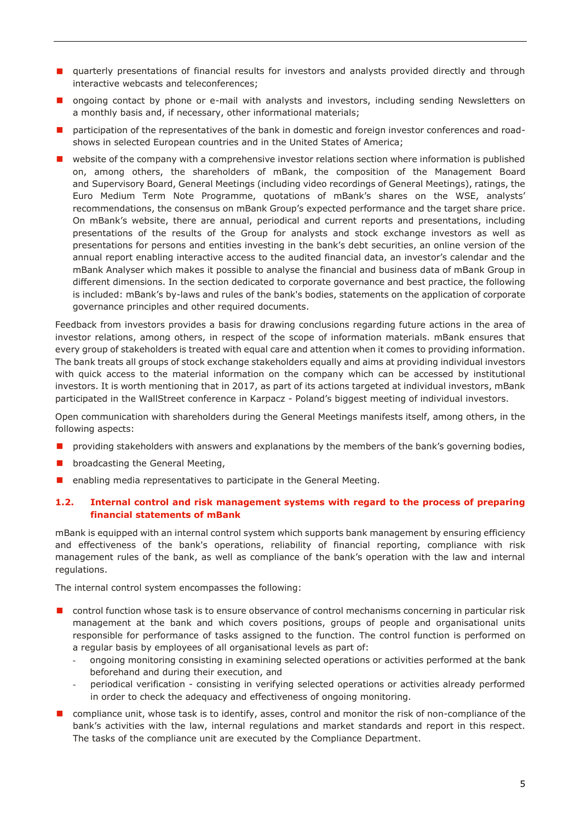- **E** quarterly presentations of financial results for investors and analysts provided directly and through interactive webcasts and teleconferences;
- **n** ongoing contact by phone or e-mail with analysts and investors, including sending Newsletters on a monthly basis and, if necessary, other informational materials;
- participation of the representatives of the bank in domestic and foreign investor conferences and roadshows in selected European countries and in the United States of America;
- **E** website of the company with a comprehensive investor relations section where information is published on, among others, the shareholders of mBank, the composition of the Management Board and Supervisory Board, General Meetings (including video recordings of General Meetings), ratings, the Euro Medium Term Note Programme, quotations of mBank's shares on the WSE, analysts' recommendations, the consensus on mBank Group's expected performance and the target share price. On mBank's website, there are annual, periodical and current reports and presentations, including presentations of the results of the Group for analysts and stock exchange investors as well as presentations for persons and entities investing in the bank's debt securities, an online version of the annual report enabling interactive access to the audited financial data, an investor's calendar and the mBank Analyser which makes it possible to analyse the financial and business data of mBank Group in different dimensions. In the section dedicated to corporate governance and best practice, the following is included: mBank's by-laws and rules of the bank's bodies, statements on the application of corporate governance principles and other required documents.

Feedback from investors provides a basis for drawing conclusions regarding future actions in the area of investor relations, among others, in respect of the scope of information materials. mBank ensures that every group of stakeholders is treated with equal care and attention when it comes to providing information. The bank treats all groups of stock exchange stakeholders equally and aims at providing individual investors with quick access to the material information on the company which can be accessed by institutional investors. It is worth mentioning that in 2017, as part of its actions targeted at individual investors, mBank participated in the WallStreet conference in Karpacz - Poland's biggest meeting of individual investors.

Open communication with shareholders during the General Meetings manifests itself, among others, in the following aspects:

- providing stakeholders with answers and explanations by the members of the bank's governing bodies,
- **D** broadcasting the General Meeting,
- **E** enabling media representatives to participate in the General Meeting.

## <span id="page-4-0"></span>**1.2. Internal control and risk management systems with regard to the process of preparing financial statements of mBank**

mBank is equipped with an internal control system which supports bank management by ensuring efficiency and effectiveness of the bank's operations, reliability of financial reporting, compliance with risk management rules of the bank, as well as compliance of the bank's operation with the law and internal regulations.

The internal control system encompasses the following:

- control function whose task is to ensure observance of control mechanisms concerning in particular risk management at the bank and which covers positions, groups of people and organisational units responsible for performance of tasks assigned to the function. The control function is performed on a regular basis by employees of all organisational levels as part of:
	- ongoing monitoring consisting in examining selected operations or activities performed at the bank beforehand and during their execution, and
	- periodical verification consisting in verifying selected operations or activities already performed in order to check the adequacy and effectiveness of ongoing monitoring.
- compliance unit, whose task is to identify, asses, control and monitor the risk of non-compliance of the bank's activities with the law, internal regulations and market standards and report in this respect. The tasks of the compliance unit are executed by the Compliance Department.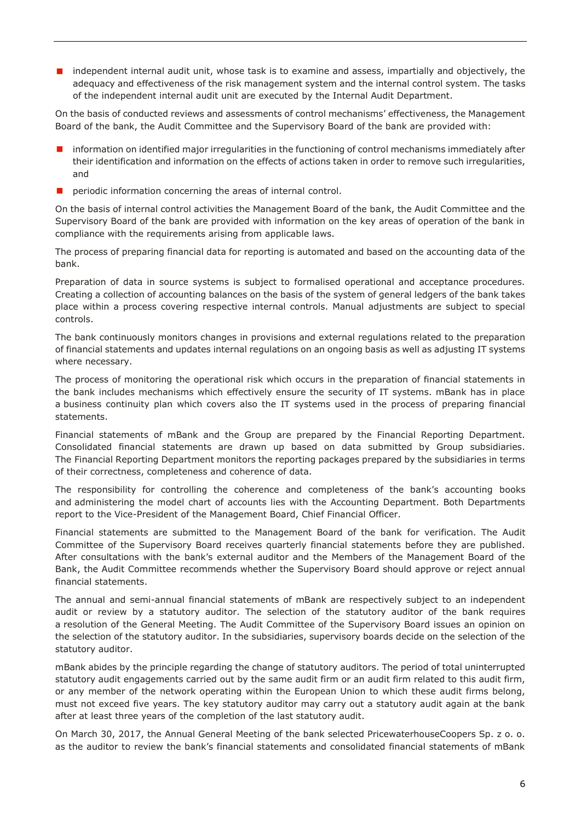$\blacksquare$  independent internal audit unit, whose task is to examine and assess, impartially and objectively, the adequacy and effectiveness of the risk management system and the internal control system. The tasks of the independent internal audit unit are executed by the Internal Audit Department.

On the basis of conducted reviews and assessments of control mechanisms' effectiveness, the Management Board of the bank, the Audit Committee and the Supervisory Board of the bank are provided with:

- $\blacksquare$  information on identified major irregularities in the functioning of control mechanisms immediately after their identification and information on the effects of actions taken in order to remove such irregularities, and
- **P** periodic information concerning the areas of internal control.

On the basis of internal control activities the Management Board of the bank, the Audit Committee and the Supervisory Board of the bank are provided with information on the key areas of operation of the bank in compliance with the requirements arising from applicable laws.

The process of preparing financial data for reporting is automated and based on the accounting data of the bank.

Preparation of data in source systems is subject to formalised operational and acceptance procedures. Creating a collection of accounting balances on the basis of the system of general ledgers of the bank takes place within a process covering respective internal controls. Manual adjustments are subject to special controls.

The bank continuously monitors changes in provisions and external regulations related to the preparation of financial statements and updates internal regulations on an ongoing basis as well as adjusting IT systems where necessary.

The process of monitoring the operational risk which occurs in the preparation of financial statements in the bank includes mechanisms which effectively ensure the security of IT systems. mBank has in place a business continuity plan which covers also the IT systems used in the process of preparing financial statements.

Financial statements of mBank and the Group are prepared by the Financial Reporting Department. Consolidated financial statements are drawn up based on data submitted by Group subsidiaries. The Financial Reporting Department monitors the reporting packages prepared by the subsidiaries in terms of their correctness, completeness and coherence of data.

The responsibility for controlling the coherence and completeness of the bank's accounting books and administering the model chart of accounts lies with the Accounting Department. Both Departments report to the Vice-President of the Management Board, Chief Financial Officer.

Financial statements are submitted to the Management Board of the bank for verification. The Audit Committee of the Supervisory Board receives quarterly financial statements before they are published. After consultations with the bank's external auditor and the Members of the Management Board of the Bank, the Audit Committee recommends whether the Supervisory Board should approve or reject annual financial statements.

The annual and semi-annual financial statements of mBank are respectively subject to an independent audit or review by a statutory auditor. The selection of the statutory auditor of the bank requires a resolution of the General Meeting. The Audit Committee of the Supervisory Board issues an opinion on the selection of the statutory auditor. In the subsidiaries, supervisory boards decide on the selection of the statutory auditor.

mBank abides by the principle regarding the change of statutory auditors. The period of total uninterrupted statutory audit engagements carried out by the same audit firm or an audit firm related to this audit firm, or any member of the network operating within the European Union to which these audit firms belong, must not exceed five years. The key statutory auditor may carry out a statutory audit again at the bank after at least three years of the completion of the last statutory audit.

On March 30, 2017, the Annual General Meeting of the bank selected PricewaterhouseCoopers Sp. z o. o. as the auditor to review the bank's financial statements and consolidated financial statements of mBank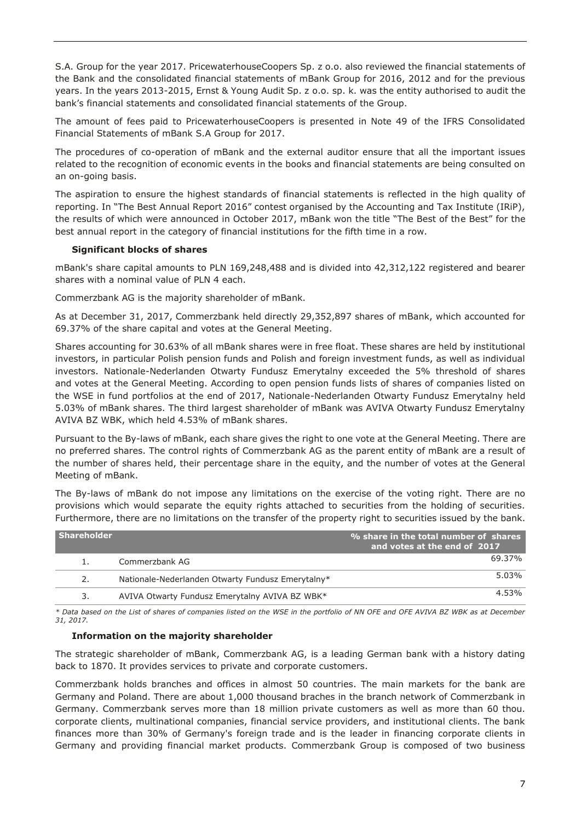S.A. Group for the year 2017. PricewaterhouseCoopers Sp. z o.o. also reviewed the financial statements of the Bank and the consolidated financial statements of mBank Group for 2016, 2012 and for the previous years. In the years 2013-2015, Ernst & Young Audit Sp. z o.o. sp. k. was the entity authorised to audit the bank's financial statements and consolidated financial statements of the Group.

The amount of fees paid to PricewaterhouseCoopers is presented in Note 49 of the IFRS Consolidated Financial Statements of mBank S.A Group for 2017.

The procedures of co-operation of mBank and the external auditor ensure that all the important issues related to the recognition of economic events in the books and financial statements are being consulted on an on-going basis.

The aspiration to ensure the highest standards of financial statements is reflected in the high quality of reporting. In "The Best Annual Report 2016" contest organised by the Accounting and Tax Institute (IRiP), the results of which were announced in October 2017, mBank won the title "The Best of the Best" for the best annual report in the category of financial institutions for the fifth time in a row.

## **Significant blocks of shares**

mBank's share capital amounts to PLN 169,248,488 and is divided into 42,312,122 registered and bearer shares with a nominal value of PLN 4 each.

Commerzbank AG is the majority shareholder of mBank.

As at December 31, 2017, Commerzbank held directly 29,352,897 shares of mBank, which accounted for 69.37% of the share capital and votes at the General Meeting.

Shares accounting for 30.63% of all mBank shares were in free float. These shares are held by institutional investors, in particular Polish pension funds and Polish and foreign investment funds, as well as individual investors. Nationale-Nederlanden Otwarty Fundusz Emerytalny exceeded the 5% threshold of shares and votes at the General Meeting. According to open pension funds lists of shares of companies listed on the WSE in fund portfolios at the end of 2017, Nationale-Nederlanden Otwarty Fundusz Emerytalny held 5.03% of mBank shares. The third largest shareholder of mBank was AVIVA Otwarty Fundusz Emerytalny AVIVA BZ WBK, which held 4.53% of mBank shares.

Pursuant to the By-laws of mBank, each share gives the right to one vote at the General Meeting. There are no preferred shares. The control rights of Commerzbank AG as the parent entity of mBank are a result of the number of shares held, their percentage share in the equity, and the number of votes at the General Meeting of mBank.

The By-laws of mBank do not impose any limitations on the exercise of the voting right. There are no provisions which would separate the equity rights attached to securities from the holding of securities. Furthermore, there are no limitations on the transfer of the property right to securities issued by the bank.

| <b>Shareholder</b> |                                                   | % share in the total number of shares<br>and votes at the end of 2017 |
|--------------------|---------------------------------------------------|-----------------------------------------------------------------------|
|                    | Commerzhank AG                                    | 69.37%                                                                |
| 2.                 | Nationale-Nederlanden Otwarty Fundusz Emerytalny* | 5.03%                                                                 |
| 3.                 | AVIVA Otwarty Fundusz Emerytalny AVIVA BZ WBK*    | 4.53%                                                                 |

*\* Data based on the List of shares of companies listed on the WSE in the portfolio of NN OFE and OFE AVIVA BZ WBK as at December 31, 2017.*

#### **Information on the majority shareholder**

The strategic shareholder of mBank, Commerzbank AG, is a leading German bank with a history dating back to 1870. It provides services to private and corporate customers.

Commerzbank holds branches and offices in almost 50 countries. The main markets for the bank are Germany and Poland. There are about 1,000 thousand braches in the branch network of Commerzbank in Germany. Commerzbank serves more than 18 million private customers as well as more than 60 thou. corporate clients, multinational companies, financial service providers, and institutional clients. The bank finances more than 30% of Germany's foreign trade and is the leader in financing corporate clients in Germany and providing financial market products. Commerzbank Group is composed of two business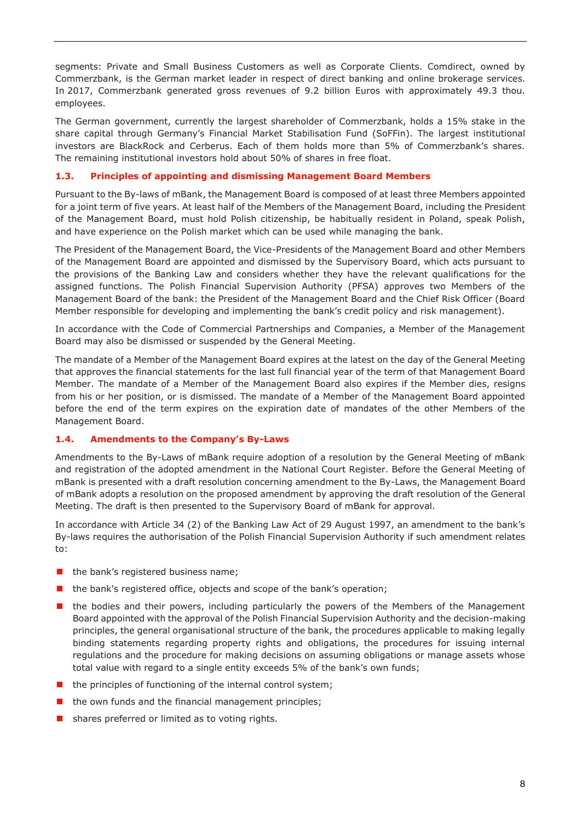segments: Private and Small Business Customers as well as Corporate Clients. Comdirect, owned by Commerzbank, is the German market leader in respect of direct banking and online brokerage services. In 2017, Commerzbank generated gross revenues of 9.2 billion Euros with approximately 49.3 thou. employees.

The German government, currently the largest shareholder of Commerzbank, holds a 15% stake in the share capital through Germany's Financial Market Stabilisation Fund (SoFFin). The largest institutional investors are BlackRock and Cerberus. Each of them holds more than 5% of Commerzbank's shares. The remaining institutional investors hold about 50% of shares in free float.

# <span id="page-7-0"></span>**1.3. Principles of appointing and dismissing Management Board Members**

Pursuant to the By-laws of mBank, the Management Board is composed of at least three Members appointed for a joint term of five years. At least half of the Members of the Management Board, including the President of the Management Board, must hold Polish citizenship, be habitually resident in Poland, speak Polish, and have experience on the Polish market which can be used while managing the bank.

The President of the Management Board, the Vice-Presidents of the Management Board and other Members of the Management Board are appointed and dismissed by the Supervisory Board, which acts pursuant to the provisions of the Banking Law and considers whether they have the relevant qualifications for the assigned functions. The Polish Financial Supervision Authority (PFSA) approves two Members of the Management Board of the bank: the President of the Management Board and the Chief Risk Officer (Board Member responsible for developing and implementing the bank's credit policy and risk management).

In accordance with the Code of Commercial Partnerships and Companies, a Member of the Management Board may also be dismissed or suspended by the General Meeting.

The mandate of a Member of the Management Board expires at the latest on the day of the General Meeting that approves the financial statements for the last full financial year of the term of that Management Board Member. The mandate of a Member of the Management Board also expires if the Member dies, resigns from his or her position, or is dismissed. The mandate of a Member of the Management Board appointed before the end of the term expires on the expiration date of mandates of the other Members of the Management Board.

## <span id="page-7-1"></span>**1.4. Amendments to the Company's By-Laws**

Amendments to the By-Laws of mBank require adoption of a resolution by the General Meeting of mBank and registration of the adopted amendment in the National Court Register. Before the General Meeting of mBank is presented with a draft resolution concerning amendment to the By-Laws, the Management Board of mBank adopts a resolution on the proposed amendment by approving the draft resolution of the General Meeting. The draft is then presented to the Supervisory Board of mBank for approval.

In accordance with Article 34 (2) of the Banking Law Act of 29 August 1997, an amendment to the bank's By-laws requires the authorisation of the Polish Financial Supervision Authority if such amendment relates to:

- $\blacksquare$  the bank's registered business name;
- the bank's registered office, objects and scope of the bank's operation;
- **n** the bodies and their powers, including particularly the powers of the Members of the Management Board appointed with the approval of the Polish Financial Supervision Authority and the decision-making principles, the general organisational structure of the bank, the procedures applicable to making legally binding statements regarding property rights and obligations, the procedures for issuing internal regulations and the procedure for making decisions on assuming obligations or manage assets whose total value with regard to a single entity exceeds 5% of the bank's own funds;
- $\blacksquare$  the principles of functioning of the internal control system;
- $\blacksquare$  the own funds and the financial management principles;
- shares preferred or limited as to voting rights.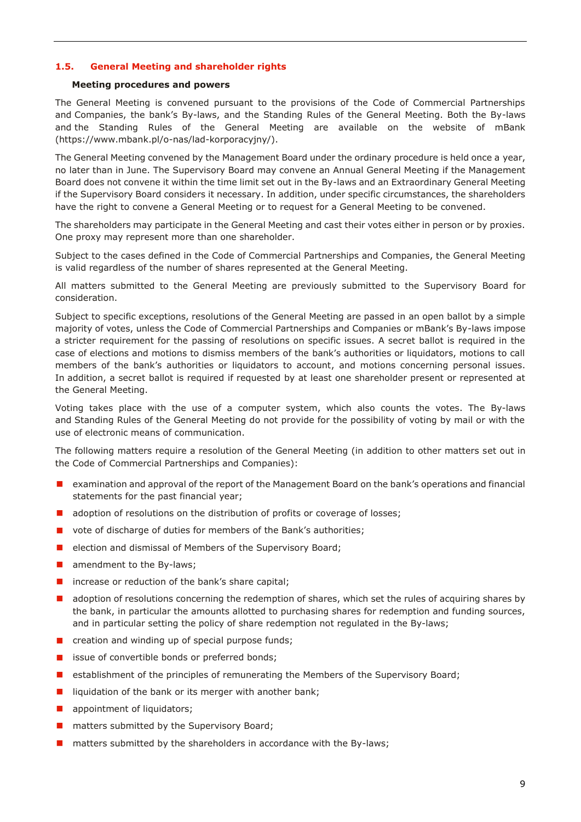## <span id="page-8-0"></span>**1.5. General Meeting and shareholder rights**

#### **Meeting procedures and powers**

The General Meeting is convened pursuant to the provisions of the Code of Commercial Partnerships and Companies, the bank's By-laws, and the Standing Rules of the General Meeting. Both the By-laws and the Standing Rules of the General Meeting are available on the website of mBank (https://www.mbank.pl/o-nas/lad-korporacyjny/).

The General Meeting convened by the Management Board under the ordinary procedure is held once a year, no later than in June. The Supervisory Board may convene an Annual General Meeting if the Management Board does not convene it within the time limit set out in the By-laws and an Extraordinary General Meeting if the Supervisory Board considers it necessary. In addition, under specific circumstances, the shareholders have the right to convene a General Meeting or to request for a General Meeting to be convened.

The shareholders may participate in the General Meeting and cast their votes either in person or by proxies. One proxy may represent more than one shareholder.

Subject to the cases defined in the Code of Commercial Partnerships and Companies, the General Meeting is valid regardless of the number of shares represented at the General Meeting.

All matters submitted to the General Meeting are previously submitted to the Supervisory Board for consideration.

Subject to specific exceptions, resolutions of the General Meeting are passed in an open ballot by a simple majority of votes, unless the Code of Commercial Partnerships and Companies or mBank's By-laws impose a stricter requirement for the passing of resolutions on specific issues. A secret ballot is required in the case of elections and motions to dismiss members of the bank's authorities or liquidators, motions to call members of the bank's authorities or liquidators to account, and motions concerning personal issues. In addition, a secret ballot is required if requested by at least one shareholder present or represented at the General Meeting.

Voting takes place with the use of a computer system, which also counts the votes. The By-laws and Standing Rules of the General Meeting do not provide for the possibility of voting by mail or with the use of electronic means of communication.

The following matters require a resolution of the General Meeting (in addition to other matters set out in the Code of Commercial Partnerships and Companies):

- **EXAM** examination and approval of the report of the Management Board on the bank's operations and financial statements for the past financial year;
- **a** adoption of resolutions on the distribution of profits or coverage of losses;
- vote of discharge of duties for members of the Bank's authorities;
- election and dismissal of Members of the Supervisory Board;
- amendment to the By-laws;
- $\blacksquare$  increase or reduction of the bank's share capital;
- **a** adoption of resolutions concerning the redemption of shares, which set the rules of acquiring shares by the bank, in particular the amounts allotted to purchasing shares for redemption and funding sources, and in particular setting the policy of share redemption not regulated in the By-laws;
- $\blacksquare$  creation and winding up of special purpose funds;
- issue of convertible bonds or preferred bonds;
- **E** establishment of the principles of remunerating the Members of the Supervisory Board;
- $\blacksquare$  liquidation of the bank or its merger with another bank;
- **a** appointment of liquidators;
- **n** matters submitted by the Supervisory Board;
- matters submitted by the shareholders in accordance with the By-laws;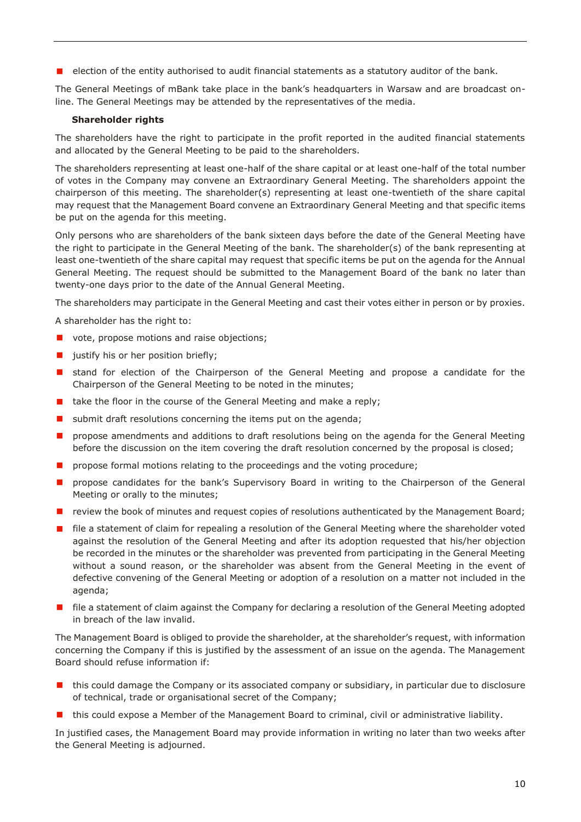$\blacksquare$  election of the entity authorised to audit financial statements as a statutory auditor of the bank.

The General Meetings of mBank take place in the bank's headquarters in Warsaw and are broadcast online. The General Meetings may be attended by the representatives of the media.

## **Shareholder rights**

The shareholders have the right to participate in the profit reported in the audited financial statements and allocated by the General Meeting to be paid to the shareholders.

The shareholders representing at least one-half of the share capital or at least one-half of the total number of votes in the Company may convene an Extraordinary General Meeting. The shareholders appoint the chairperson of this meeting. The shareholder(s) representing at least one-twentieth of the share capital may request that the Management Board convene an Extraordinary General Meeting and that specific items be put on the agenda for this meeting.

Only persons who are shareholders of the bank sixteen days before the date of the General Meeting have the right to participate in the General Meeting of the bank. The shareholder(s) of the bank representing at least one-twentieth of the share capital may request that specific items be put on the agenda for the Annual General Meeting. The request should be submitted to the Management Board of the bank no later than twenty-one days prior to the date of the Annual General Meeting.

The shareholders may participate in the General Meeting and cast their votes either in person or by proxies.

A shareholder has the right to:

- vote, propose motions and raise objections;
- **justify** his or her position briefly;
- **E** stand for election of the Chairperson of the General Meeting and propose a candidate for the Chairperson of the General Meeting to be noted in the minutes;
- $\blacksquare$  take the floor in the course of the General Meeting and make a reply;
- submit draft resolutions concerning the items put on the agenda;
- propose amendments and additions to draft resolutions being on the agenda for the General Meeting before the discussion on the item covering the draft resolution concerned by the proposal is closed;
- **n** propose formal motions relating to the proceedings and the voting procedure;
- propose candidates for the bank's Supervisory Board in writing to the Chairperson of the General Meeting or orally to the minutes;
- **P** review the book of minutes and request copies of resolutions authenticated by the Management Board;
- **file a statement of claim for repealing a resolution of the General Meeting where the shareholder voted** against the resolution of the General Meeting and after its adoption requested that his/her objection be recorded in the minutes or the shareholder was prevented from participating in the General Meeting without a sound reason, or the shareholder was absent from the General Meeting in the event of defective convening of the General Meeting or adoption of a resolution on a matter not included in the agenda;
- **file a statement of claim against the Company for declaring a resolution of the General Meeting adopted** in breach of the law invalid.

The Management Board is obliged to provide the shareholder, at the shareholder's request, with information concerning the Company if this is justified by the assessment of an issue on the agenda. The Management Board should refuse information if:

- $\blacksquare$  this could damage the Company or its associated company or subsidiary, in particular due to disclosure of technical, trade or organisational secret of the Company;
- **If** this could expose a Member of the Management Board to criminal, civil or administrative liability.

In justified cases, the Management Board may provide information in writing no later than two weeks after the General Meeting is adjourned.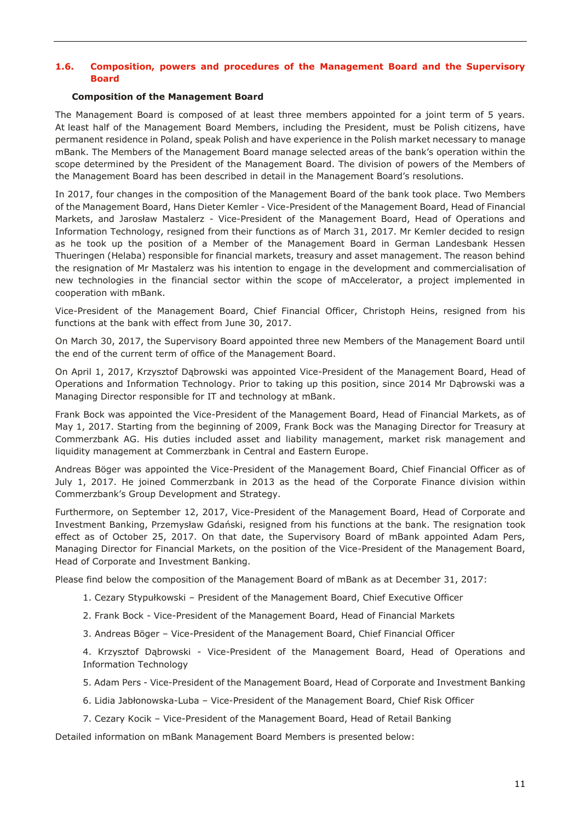## <span id="page-10-0"></span>**1.6. Composition, powers and procedures of the Management Board and the Supervisory Board**

#### **Composition of the Management Board**

The Management Board is composed of at least three members appointed for a joint term of 5 years. At least half of the Management Board Members, including the President, must be Polish citizens, have permanent residence in Poland, speak Polish and have experience in the Polish market necessary to manage mBank. The Members of the Management Board manage selected areas of the bank's operation within the scope determined by the President of the Management Board. The division of powers of the Members of the Management Board has been described in detail in the Management Board's resolutions.

In 2017, four changes in the composition of the Management Board of the bank took place. Two Members of the Management Board, Hans Dieter Kemler - Vice-President of the Management Board, Head of Financial Markets, and Jarosław Mastalerz - Vice-President of the Management Board, Head of Operations and Information Technology, resigned from their functions as of March 31, 2017. Mr Kemler decided to resign as he took up the position of a Member of the Management Board in German Landesbank Hessen Thueringen (Helaba) responsible for financial markets, treasury and asset management. The reason behind the resignation of Mr Mastalerz was his intention to engage in the development and commercialisation of new technologies in the financial sector within the scope of mAccelerator, a project implemented in cooperation with mBank.

Vice-President of the Management Board, Chief Financial Officer, Christoph Heins, resigned from his functions at the bank with effect from June 30, 2017.

On March 30, 2017, the Supervisory Board appointed three new Members of the Management Board until the end of the current term of office of the Management Board.

On April 1, 2017, Krzysztof Dąbrowski was appointed Vice-President of the Management Board, Head of Operations and Information Technology. Prior to taking up this position, since 2014 Mr Dąbrowski was a Managing Director responsible for IT and technology at mBank.

Frank Bock was appointed the Vice-President of the Management Board, Head of Financial Markets, as of May 1, 2017. Starting from the beginning of 2009, Frank Bock was the Managing Director for Treasury at Commerzbank AG. His duties included asset and liability management, market risk management and liquidity management at Commerzbank in Central and Eastern Europe.

Andreas Böger was appointed the Vice-President of the Management Board, Chief Financial Officer as of July 1, 2017. He joined Commerzbank in 2013 as the head of the Corporate Finance division within Commerzbank's Group Development and Strategy.

Furthermore, on September 12, 2017, Vice-President of the Management Board, Head of Corporate and Investment Banking, Przemysław Gdański, resigned from his functions at the bank. The resignation took effect as of October 25, 2017. On that date, the Supervisory Board of mBank appointed Adam Pers, Managing Director for Financial Markets, on the position of the Vice-President of the Management Board, Head of Corporate and Investment Banking.

Please find below the composition of the Management Board of mBank as at December 31, 2017:

- 1. Cezary Stypułkowski President of the Management Board, Chief Executive Officer
- 2. Frank Bock Vice-President of the Management Board, Head of Financial Markets
- 3. Andreas Böger Vice-President of the Management Board, Chief Financial Officer

4. Krzysztof Dąbrowski - Vice-President of the Management Board, Head of Operations and Information Technology

- 5. Adam Pers Vice-President of the Management Board, Head of Corporate and Investment Banking
- 6. Lidia Jabłonowska-Luba Vice-President of the Management Board, Chief Risk Officer
- 7. Cezary Kocik Vice-President of the Management Board, Head of Retail Banking

Detailed information on mBank Management Board Members is presented below: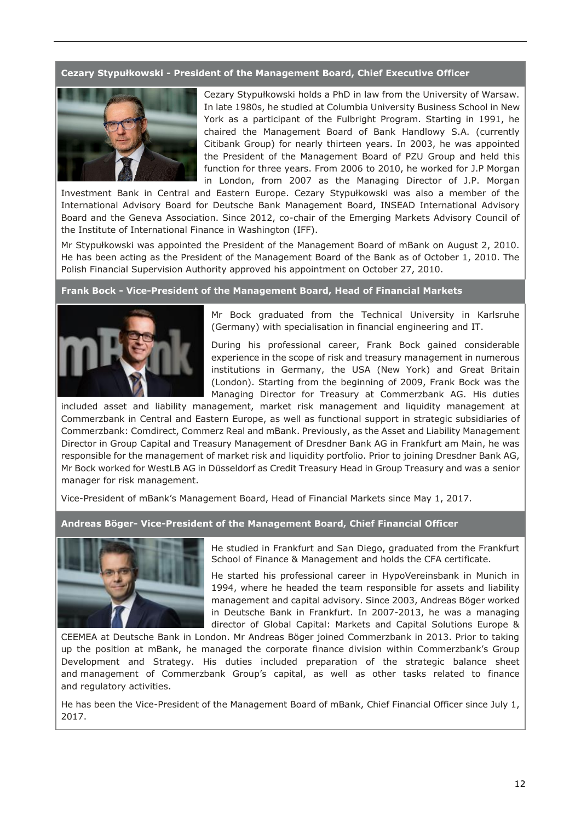## **Cezary Stypułkowski - President of the Management Board, Chief Executive Officer**



Cezary Stypułkowski holds a PhD in law from the University of Warsaw. In late 1980s, he studied at Columbia University Business School in New York as a participant of the Fulbright Program. Starting in 1991, he chaired the Management Board of Bank Handlowy S.A. (currently Citibank Group) for nearly thirteen years. In 2003, he was appointed the President of the Management Board of PZU Group and held this function for three years. From 2006 to 2010, he worked for J.P Morgan in London, from 2007 as the Managing Director of J.P. Morgan

Investment Bank in Central and Eastern Europe. Cezary Stypułkowski was also a member of the International Advisory Board for Deutsche Bank Management Board, INSEAD International Advisory Board and the Geneva Association. Since 2012, co-chair of the Emerging Markets Advisory Council of the Institute of International Finance in Washington (IFF).

Mr Stypułkowski was appointed the President of the Management Board of mBank on August 2, 2010. He has been acting as the President of the Management Board of the Bank as of October 1, 2010. The Polish Financial Supervision Authority approved his appointment on October 27, 2010.

#### **Frank Bock - Vice-President of the Management Board, Head of Financial Markets**



Mr Bock graduated from the Technical University in Karlsruhe (Germany) with specialisation in financial engineering and IT.

During his professional career, Frank Bock gained considerable experience in the scope of risk and treasury management in numerous institutions in Germany, the USA (New York) and Great Britain (London). Starting from the beginning of 2009, Frank Bock was the Managing Director for Treasury at Commerzbank AG. His duties

included asset and liability management, market risk management and liquidity management at Commerzbank in Central and Eastern Europe, as well as functional support in strategic subsidiaries of Commerzbank: Comdirect, Commerz Real and mBank. Previously, as the Asset and Liability Management Director in Group Capital and Treasury Management of Dresdner Bank AG in Frankfurt am Main, he was responsible for the management of market risk and liquidity portfolio. Prior to joining Dresdner Bank AG, Mr Bock worked for WestLB AG in Düsseldorf as Credit Treasury Head in Group Treasury and was a senior manager for risk management.

Vice-President of mBank's Management Board, Head of Financial Markets since May 1, 2017.

**Andreas Böger- Vice-President of the Management Board, Chief Financial Officer**



He studied in Frankfurt and San Diego, graduated from the Frankfurt School of Finance & Management and holds the CFA certificate.

He started his professional career in HypoVereinsbank in Munich in 1994, where he headed the team responsible for assets and liability management and capital advisory. Since 2003, Andreas Böger worked in Deutsche Bank in Frankfurt. In 2007-2013, he was a managing director of Global Capital: Markets and Capital Solutions Europe &

CEEMEA at Deutsche Bank in London. Mr Andreas Böger joined Commerzbank in 2013. Prior to taking up the position at mBank, he managed the corporate finance division within Commerzbank's Group Development and Strategy. His duties included preparation of the strategic balance sheet and management of Commerzbank Group's capital, as well as other tasks related to finance and regulatory activities.

He has been the Vice-President of the Management Board of mBank, Chief Financial Officer since July 1, 2017.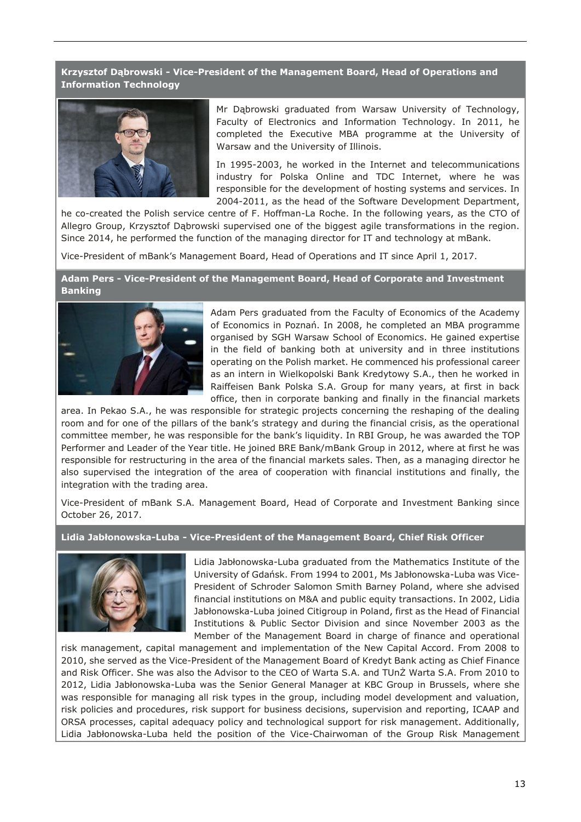**Krzysztof Dąbrowski - Vice-President of the Management Board, Head of Operations and Information Technology**



Mr Dąbrowski graduated from Warsaw University of Technology, Faculty of Electronics and Information Technology. In 2011, he completed the Executive MBA programme at the University of Warsaw and the University of Illinois.

In 1995-2003, he worked in the Internet and telecommunications industry for Polska Online and TDC Internet, where he was responsible for the development of hosting systems and services. In 2004-2011, as the head of the Software Development Department,

he co-created the Polish service centre of F. Hoffman-La Roche. In the following years, as the CTO of Allegro Group, Krzysztof Dąbrowski supervised one of the biggest agile transformations in the region. Since 2014, he performed the function of the managing director for IT and technology at mBank.

Vice-President of mBank's Management Board, Head of Operations and IT since April 1, 2017.

**Adam Pers - Vice-President of the Management Board, Head of Corporate and Investment Banking**



Adam Pers graduated from the Faculty of Economics of the Academy of Economics in Poznań. In 2008, he completed an MBA programme organised by SGH Warsaw School of Economics. He gained expertise in the field of banking both at university and in three institutions operating on the Polish market. He commenced his professional career as an intern in Wielkopolski Bank Kredytowy S.A., then he worked in Raiffeisen Bank Polska S.A. Group for many years, at first in back office, then in corporate banking and finally in the financial markets

area. In Pekao S.A., he was responsible for strategic projects concerning the reshaping of the dealing room and for one of the pillars of the bank's strategy and during the financial crisis, as the operational committee member, he was responsible for the bank's liquidity. In RBI Group, he was awarded the TOP Performer and Leader of the Year title. He joined BRE Bank/mBank Group in 2012, where at first he was responsible for restructuring in the area of the financial markets sales. Then, as a managing director he also supervised the integration of the area of cooperation with financial institutions and finally, the integration with the trading area.

Vice-President of mBank S.A. Management Board, Head of Corporate and Investment Banking since October 26, 2017.

**Lidia Jabłonowska-Luba - Vice-President of the Management Board, Chief Risk Officer**



Lidia Jabłonowska-Luba graduated from the Mathematics Institute of the University of Gdańsk. From 1994 to 2001, Ms Jabłonowska-Luba was Vice-President of Schroder Salomon Smith Barney Poland, where she advised financial institutions on M&A and public equity transactions. In 2002, Lidia Jabłonowska-Luba joined Citigroup in Poland, first as the Head of Financial Institutions & Public Sector Division and since November 2003 as the Member of the Management Board in charge of finance and operational

risk management, capital management and implementation of the New Capital Accord. From 2008 to 2010, she served as the Vice-President of the Management Board of Kredyt Bank acting as Chief Finance and Risk Officer. She was also the Advisor to the CEO of Warta S.A. and TUnŻ Warta S.A. From 2010 to 2012, Lidia Jabłonowska-Luba was the Senior General Manager at KBC Group in Brussels, where she was responsible for managing all risk types in the group, including model development and valuation, risk policies and procedures, risk support for business decisions, supervision and reporting, ICAAP and ORSA processes, capital adequacy policy and technological support for risk management. Additionally, Lidia Jabłonowska-Luba held the position of the Vice-Chairwoman of the Group Risk Management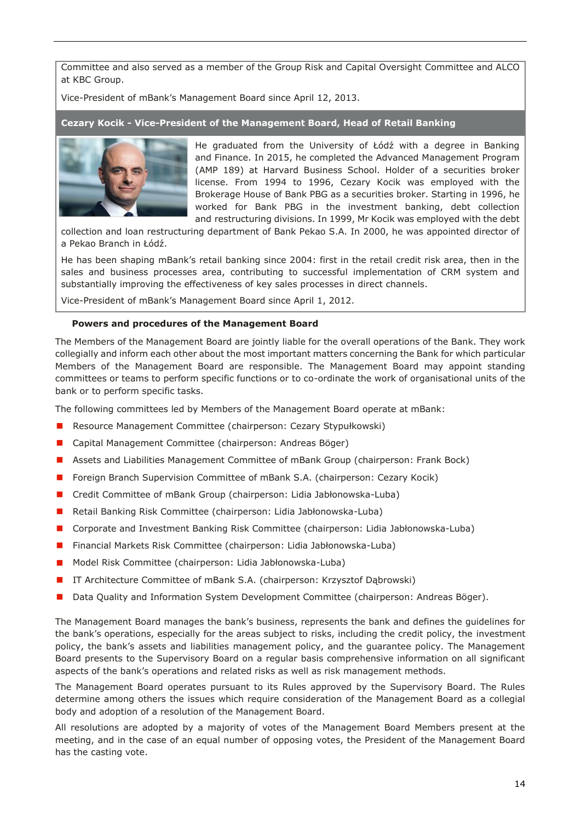Committee and also served as a member of the Group Risk and Capital Oversight Committee and ALCO at KBC Group.

Vice-President of mBank's Management Board since April 12, 2013.

**Cezary Kocik - Vice-President of the Management Board, Head of Retail Banking**



He graduated from the University of Łódź with a degree in Banking and Finance. In 2015, he completed the Advanced Management Program (AMP 189) at Harvard Business School. Holder of a securities broker license. From 1994 to 1996, Cezary Kocik was employed with the Brokerage House of Bank PBG as a securities broker. Starting in 1996, he worked for Bank PBG in the investment banking, debt collection and restructuring divisions. In 1999, Mr Kocik was employed with the debt

collection and loan restructuring department of Bank Pekao S.A. In 2000, he was appointed director of a Pekao Branch in Łódź.

He has been shaping mBank's retail banking since 2004: first in the retail credit risk area, then in the sales and business processes area, contributing to successful implementation of CRM system and substantially improving the effectiveness of key sales processes in direct channels.

Vice-President of mBank's Management Board since April 1, 2012.

#### **Powers and procedures of the Management Board**

The Members of the Management Board are jointly liable for the overall operations of the Bank. They work collegially and inform each other about the most important matters concerning the Bank for which particular Members of the Management Board are responsible. The Management Board may appoint standing committees or teams to perform specific functions or to co-ordinate the work of organisational units of the bank or to perform specific tasks.

The following committees led by Members of the Management Board operate at mBank:

- **Resource Management Committee (chairperson: Cezary Stypułkowski)**
- Capital Management Committee (chairperson: Andreas Böger)
- Assets and Liabilities Management Committee of mBank Group (chairperson: Frank Bock)
- **F** Foreign Branch Supervision Committee of mBank S.A. (chairperson: Cezary Kocik)
- Credit Committee of mBank Group (chairperson: Lidia Jabłonowska-Luba)
- **Retail Banking Risk Committee (chairperson: Lidia Jabłonowska-Luba)**
- Corporate and Investment Banking Risk Committee (chairperson: Lidia Jabłonowska-Luba)
- Financial Markets Risk Committee (chairperson: Lidia Jabłonowska-Luba)
- Model Risk Committee (chairperson: Lidia Jabłonowska-Luba)
- **IT Architecture Committee of mBank S.A. (chairperson: Krzysztof Dąbrowski)**
- Data Quality and Information System Development Committee (chairperson: Andreas Böger).

The Management Board manages the bank's business, represents the bank and defines the guidelines for the bank's operations, especially for the areas subject to risks, including the credit policy, the investment policy, the bank's assets and liabilities management policy, and the guarantee policy. The Management Board presents to the Supervisory Board on a regular basis comprehensive information on all significant aspects of the bank's operations and related risks as well as risk management methods.

The Management Board operates pursuant to its Rules approved by the Supervisory Board. The Rules determine among others the issues which require consideration of the Management Board as a collegial body and adoption of a resolution of the Management Board.

All resolutions are adopted by a majority of votes of the Management Board Members present at the meeting, and in the case of an equal number of opposing votes, the President of the Management Board has the casting vote.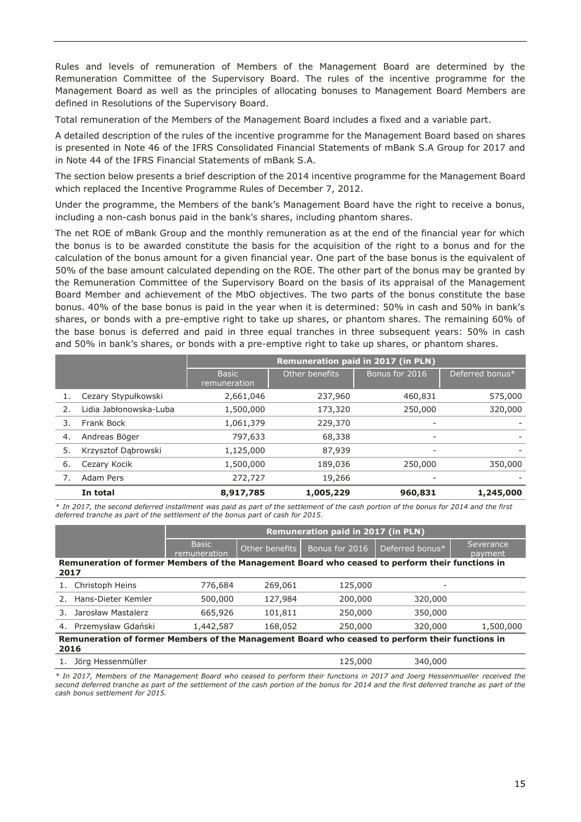Rules and levels of remuneration of Members of the Management Board are determined by the Remuneration Committee of the Supervisory Board. The rules of the incentive programme for the Management Board as well as the principles of allocating bonuses to Management Board Members are defined in Resolutions of the Supervisory Board.

Total remuneration of the Members of the Management Board includes a fixed and a variable part.

A detailed description of the rules of the incentive programme for the Management Board based on shares is presented in Note 46 of the IFRS Consolidated Financial Statements of mBank S.A Group for 2017 and in Note 44 of the IFRS Financial Statements of mBank S.A.

The section below presents a brief description of the 2014 incentive programme for the Management Board which replaced the Incentive Programme Rules of December 7, 2012.

Under the programme, the Members of the bank's Management Board have the right to receive a bonus, including a non-cash bonus paid in the bank's shares, including phantom shares.

The net ROE of mBank Group and the monthly remuneration as at the end of the financial year for which the bonus is to be awarded constitute the basis for the acquisition of the right to a bonus and for the calculation of the bonus amount for a given financial year. One part of the base bonus is the equivalent of 50% of the base amount calculated depending on the ROE. The other part of the bonus may be granted by the Remuneration Committee of the Supervisory Board on the basis of its appraisal of the Management Board Member and achievement of the MbO objectives. The two parts of the bonus constitute the base bonus. 40% of the base bonus is paid in the year when it is determined: 50% in cash and 50% in bank's shares, or bonds with a pre-emptive right to take up shares, or phantom shares. The remaining 60% of the base bonus is deferred and paid in three equal tranches in three subsequent years: 50% in cash and 50% in bank's shares, or bonds with a pre-emptive right to take up shares, or phantom shares.

|    |                        | <b>Remuneration paid in 2017 (in PLN)</b> |                |                |                 |  |
|----|------------------------|-------------------------------------------|----------------|----------------|-----------------|--|
|    |                        | <b>Basic</b><br>remuneration              | Other benefits | Bonus for 2016 | Deferred bonus* |  |
| 1. | Cezary Stypułkowski    | 2,661,046                                 | 237,960        | 460,831        | 575,000         |  |
| 2. | Lidia Jabłonowska-Luba | 1,500,000                                 | 173,320        | 250,000        | 320,000         |  |
| 3. | Frank Bock             | 1,061,379                                 | 229,370        |                |                 |  |
| 4. | Andreas Böger          | 797,633                                   | 68,338         |                |                 |  |
| 5. | Krzysztof Dąbrowski    | 1,125,000                                 | 87,939         | -              |                 |  |
| 6. | Cezary Kocik           | 1,500,000                                 | 189,036        | 250,000        | 350,000         |  |
|    | Adam Pers              | 272,727                                   | 19,266         |                |                 |  |
|    | In total               | 8,917,785                                 | 1,005,229      | 960,831        | 1,245,000       |  |

*\* In 2017, the second deferred installment was paid as part of the settlement of the cash portion of the bonus for 2014 and the first deferred tranche as part of the settlement of the bonus part of cash for 2015.*

|                                                                                                         |                              | <b>Remuneration paid in 2017 (in PLN)</b> |                |                 |                      |  |  |
|---------------------------------------------------------------------------------------------------------|------------------------------|-------------------------------------------|----------------|-----------------|----------------------|--|--|
|                                                                                                         | <b>Basic</b><br>remuneration | Other benefits                            | Bonus for 2016 | Deferred bonus* | Severance<br>payment |  |  |
| Remuneration of former Members of the Management Board who ceased to perform their functions in<br>2017 |                              |                                           |                |                 |                      |  |  |
| Christoph Heins                                                                                         | 776,684                      | 269,061                                   | 125,000        |                 |                      |  |  |
| 2. Hans-Dieter Kemler                                                                                   | 500,000                      | 127,984                                   | 200,000        | 320,000         |                      |  |  |
| Jarosław Mastalerz<br>3.                                                                                | 665,926                      | 101,811                                   | 250,000        | 350,000         |                      |  |  |
| Przemysław Gdański<br>4.                                                                                | 1,442,587                    | 168,052                                   | 250,000        | 320,000         | 1,500,000            |  |  |
| Remuneration of former Members of the Management Board who ceased to perform their functions in<br>2016 |                              |                                           |                |                 |                      |  |  |
| Jörg Hessenmüller                                                                                       |                              |                                           | 125,000        | 340,000         |                      |  |  |

*\* In 2017, Members of the Management Board who ceased to perform their functions in 2017 and Joerg Hessenmueller received the second deferred tranche as part of the settlement of the cash portion of the bonus for 2014 and the first deferred tranche as part of the cash bonus settlement for 2015.*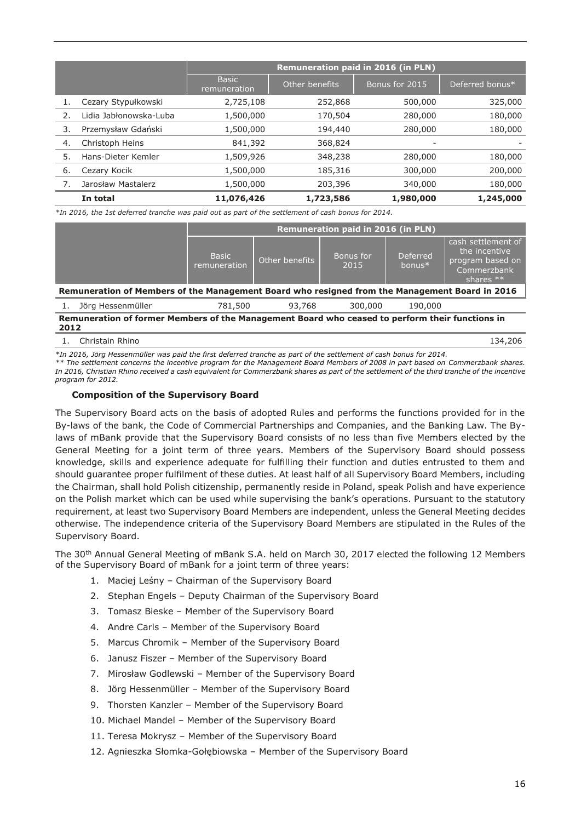|    |                        | <b>Remuneration paid in 2016 (in PLN)</b> |                |                |                 |  |
|----|------------------------|-------------------------------------------|----------------|----------------|-----------------|--|
|    |                        | <b>Basic</b><br>remuneration              | Other benefits | Bonus for 2015 | Deferred bonus* |  |
| 1. | Cezary Stypułkowski    | 2,725,108                                 | 252,868        | 500,000        | 325,000         |  |
| 2. | Lidia Jabłonowska-Luba | 1,500,000                                 | 170,504        | 280,000        | 180,000         |  |
| 3. | Przemysław Gdański     | 1,500,000                                 | 194,440        | 280,000        | 180,000         |  |
| 4. | Christoph Heins        | 841,392                                   | 368,824        | -              |                 |  |
| 5. | Hans-Dieter Kemler     | 1,509,926                                 | 348,238        | 280,000        | 180,000         |  |
| 6. | Cezary Kocik           | 1,500,000                                 | 185,316        | 300,000        | 200,000         |  |
|    | Jarosław Mastalerz     | 1,500,000                                 | 203,396        | 340,000        | 180,000         |  |
|    | In total               | 11,076,426                                | 1,723,586      | 1,980,000      | 1,245,000       |  |

*\*In 2016, the 1st deferred tranche was paid out as part of the settlement of cash bonus for 2014.*

|                                                                                                |                                     | <b>Remuneration paid in 2016 (in PLN)</b> |                   |                              |                                                                                        |  |  |
|------------------------------------------------------------------------------------------------|-------------------------------------|-------------------------------------------|-------------------|------------------------------|----------------------------------------------------------------------------------------|--|--|
|                                                                                                | <b>Basic</b><br><b>remuneration</b> | Other benefits                            | Bonus for<br>2015 | <b>Deferred</b><br>bonus $*$ | cash settlement of<br>the incentive<br>program based on'<br>Commerzbank<br>shares $**$ |  |  |
| Remuneration of Members of the Management Board who resigned from the Management Board in 2016 |                                     |                                           |                   |                              |                                                                                        |  |  |
| Jörg Hessenmüller                                                                              | 781,500                             | 93,768                                    | 300,000           | 190.000                      |                                                                                        |  |  |

| Remuneration of former Members of the Management Board who ceased to perform their functions in |  |  |
|-------------------------------------------------------------------------------------------------|--|--|
| 2012                                                                                            |  |  |

1. Christain Rhino 134,206

*\*In 2016, Jörg Hessenmüller was paid the first deferred tranche as part of the settlement of cash bonus for 2014. \*\* The settlement concerns the incentive program for the Management Board Members of 2008 in part based on Commerzbank shares.* 

*In 2016, Christian Rhino received a cash equivalent for Commerzbank shares as part of the settlement of the third tranche of the incentive program for 2012.*

#### **Composition of the Supervisory Board**

The Supervisory Board acts on the basis of adopted Rules and performs the functions provided for in the By-laws of the bank, the Code of Commercial Partnerships and Companies, and the Banking Law. The Bylaws of mBank provide that the Supervisory Board consists of no less than five Members elected by the General Meeting for a joint term of three years. Members of the Supervisory Board should possess knowledge, skills and experience adequate for fulfilling their function and duties entrusted to them and should guarantee proper fulfilment of these duties. At least half of all Supervisory Board Members, including the Chairman, shall hold Polish citizenship, permanently reside in Poland, speak Polish and have experience on the Polish market which can be used while supervising the bank's operations. Pursuant to the statutory requirement, at least two Supervisory Board Members are independent, unless the General Meeting decides otherwise. The independence criteria of the Supervisory Board Members are stipulated in the Rules of the Supervisory Board.

The 30th Annual General Meeting of mBank S.A. held on March 30, 2017 elected the following 12 Members of the Supervisory Board of mBank for a joint term of three years:

- 1. Maciej Leśny Chairman of the Supervisory Board
- 2. Stephan Engels Deputy Chairman of the Supervisory Board
- 3. Tomasz Bieske Member of the Supervisory Board
- 4. Andre Carls Member of the Supervisory Board
- 5. Marcus Chromik Member of the Supervisory Board
- 6. Janusz Fiszer Member of the Supervisory Board
- 7. Mirosław Godlewski Member of the Supervisory Board
- 8. Jörg Hessenmüller Member of the Supervisory Board
- 9. Thorsten Kanzler Member of the Supervisory Board
- 10. Michael Mandel Member of the Supervisory Board
- 11. Teresa Mokrysz Member of the Supervisory Board
- 12. Agnieszka Słomka-Gołębiowska Member of the Supervisory Board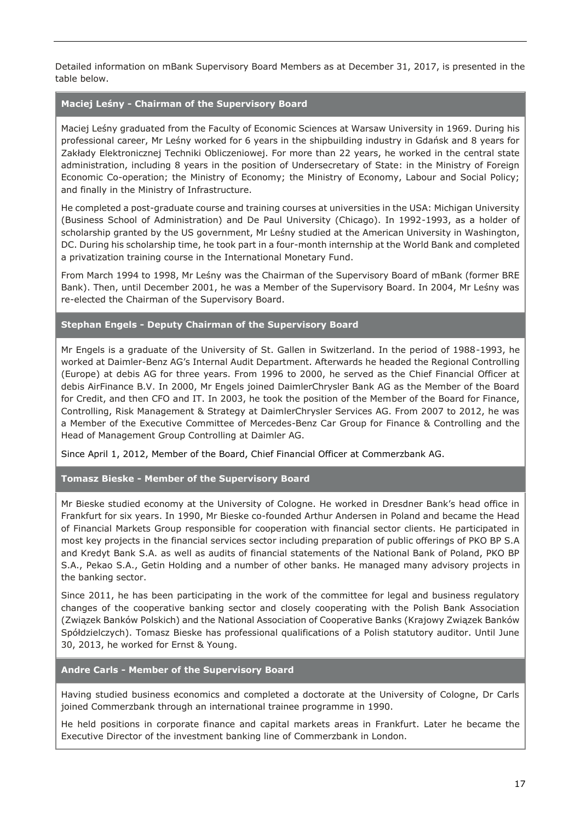Detailed information on mBank Supervisory Board Members as at December 31, 2017, is presented in the table below.

## **Maciej Leśny - Chairman of the Supervisory Board**

Maciej Leśny graduated from the Faculty of Economic Sciences at Warsaw University in 1969. During his professional career, Mr Leśny worked for 6 years in the shipbuilding industry in Gdańsk and 8 years for Zakłady Elektronicznej Techniki Obliczeniowej. For more than 22 years, he worked in the central state administration, including 8 years in the position of Undersecretary of State: in the Ministry of Foreign Economic Co-operation; the Ministry of Economy; the Ministry of Economy, Labour and Social Policy; and finally in the Ministry of Infrastructure.

He completed a post-graduate course and training courses at universities in the USA: Michigan University (Business School of Administration) and De Paul University (Chicago). In 1992-1993, as a holder of scholarship granted by the US government, Mr Leśny studied at the American University in Washington, DC. During his scholarship time, he took part in a four-month internship at the World Bank and completed a privatization training course in the International Monetary Fund.

From March 1994 to 1998, Mr Leśny was the Chairman of the Supervisory Board of mBank (former BRE Bank). Then, until December 2001, he was a Member of the Supervisory Board. In 2004, Mr Leśny was re-elected the Chairman of the Supervisory Board.

## **Stephan Engels - Deputy Chairman of the Supervisory Board**

Mr Engels is a graduate of the University of St. Gallen in Switzerland. In the period of 1988-1993, he worked at Daimler-Benz AG's Internal Audit Department. Afterwards he headed the Regional Controlling (Europe) at debis AG for three years. From 1996 to 2000, he served as the Chief Financial Officer at debis AirFinance B.V. In 2000, Mr Engels joined DaimlerChrysler Bank AG as the Member of the Board for Credit, and then CFO and IT. In 2003, he took the position of the Member of the Board for Finance, Controlling, Risk Management & Strategy at DaimlerChrysler Services AG. From 2007 to 2012, he was a Member of the Executive Committee of Mercedes-Benz Car Group for Finance & Controlling and the Head of Management Group Controlling at Daimler AG.

Since April 1, 2012, Member of the Board, Chief Financial Officer at Commerzbank AG.

#### **Tomasz Bieske - Member of the Supervisory Board**

Mr Bieske studied economy at the University of Cologne. He worked in Dresdner Bank's head office in Frankfurt for six years. In 1990, Mr Bieske co-founded Arthur Andersen in Poland and became the Head of Financial Markets Group responsible for cooperation with financial sector clients. He participated in most key projects in the financial services sector including preparation of public offerings of PKO BP S.A and Kredyt Bank S.A. as well as audits of financial statements of the National Bank of Poland, PKO BP S.A., Pekao S.A., Getin Holding and a number of other banks. He managed many advisory projects in the banking sector.

Since 2011, he has been participating in the work of the committee for legal and business regulatory changes of the cooperative banking sector and closely cooperating with the Polish Bank Association (Związek Banków Polskich) and the National Association of Cooperative Banks (Krajowy Związek Banków Spółdzielczych). Tomasz Bieske has professional qualifications of a Polish statutory auditor. Until June 30, 2013, he worked for Ernst & Young.

#### **Andre Carls - Member of the Supervisory Board**

Having studied business economics and completed a doctorate at the University of Cologne, Dr Carls joined Commerzbank through an international trainee programme in 1990.

He held positions in corporate finance and capital markets areas in Frankfurt. Later he became the Executive Director of the investment banking line of Commerzbank in London.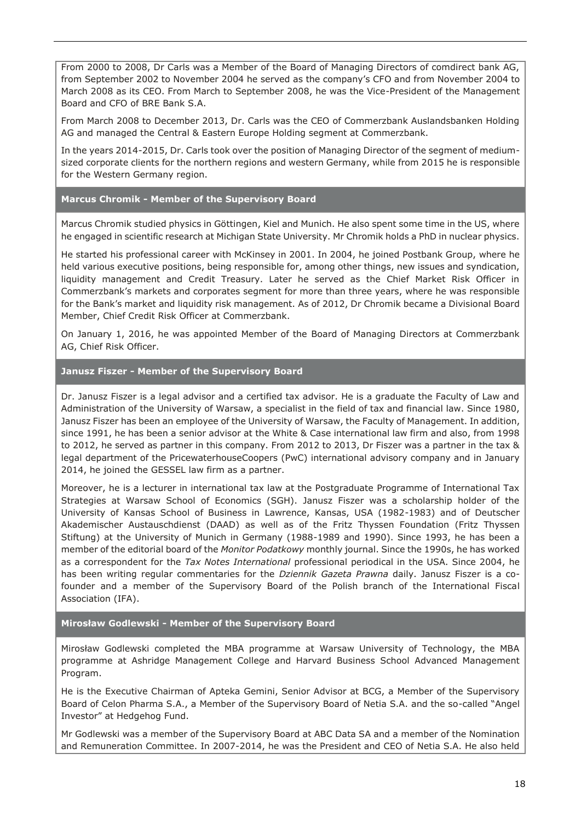From 2000 to 2008, Dr Carls was a Member of the Board of Managing Directors of comdirect bank AG, from September 2002 to November 2004 he served as the company's CFO and from November 2004 to March 2008 as its CEO. From March to September 2008, he was the Vice-President of the Management Board and CFO of BRE Bank S.A.

From March 2008 to December 2013, Dr. Carls was the CEO of Commerzbank Auslandsbanken Holding AG and managed the Central & Eastern Europe Holding segment at Commerzbank.

In the years 2014-2015, Dr. Carls took over the position of Managing Director of the segment of mediumsized corporate clients for the northern regions and western Germany, while from 2015 he is responsible for the Western Germany region.

**Marcus Chromik - Member of the Supervisory Board**

Marcus Chromik studied physics in Göttingen, Kiel and Munich. He also spent some time in the US, where he engaged in scientific research at Michigan State University. Mr Chromik holds a PhD in nuclear physics.

He started his professional career with McKinsey in 2001. In 2004, he joined Postbank Group, where he held various executive positions, being responsible for, among other things, new issues and syndication, liquidity management and Credit Treasury. Later he served as the Chief Market Risk Officer in Commerzbank's markets and corporates segment for more than three years, where he was responsible for the Bank's market and liquidity risk management. As of 2012, Dr Chromik became a Divisional Board Member, Chief Credit Risk Officer at Commerzbank.

On January 1, 2016, he was appointed Member of the Board of Managing Directors at Commerzbank AG, Chief Risk Officer.

**Janusz Fiszer - Member of the Supervisory Board**

Dr. Janusz Fiszer is a legal advisor and a certified tax advisor. He is a graduate the Faculty of Law and Administration of the University of Warsaw, a specialist in the field of tax and financial law. Since 1980, Janusz Fiszer has been an employee of the University of Warsaw, the Faculty of Management. In addition, since 1991, he has been a senior advisor at the White & Case international law firm and also, from 1998 to 2012, he served as partner in this company. From 2012 to 2013, Dr Fiszer was a partner in the tax & legal department of the PricewaterhouseCoopers (PwC) international advisory company and in January 2014, he joined the GESSEL law firm as a partner.

Moreover, he is a lecturer in international tax law at the Postgraduate Programme of International Tax Strategies at Warsaw School of Economics (SGH). Janusz Fiszer was a scholarship holder of the University of Kansas School of Business in Lawrence, Kansas, USA (1982-1983) and of Deutscher Akademischer Austauschdienst (DAAD) as well as of the Fritz Thyssen Foundation (Fritz Thyssen Stiftung) at the University of Munich in Germany (1988-1989 and 1990). Since 1993, he has been a member of the editorial board of the *Monitor Podatkowy* monthly journal. Since the 1990s, he has worked as a correspondent for the *Tax Notes International* professional periodical in the USA. Since 2004, he has been writing regular commentaries for the *Dziennik Gazeta Prawna* daily. Janusz Fiszer is a cofounder and a member of the Supervisory Board of the Polish branch of the International Fiscal Association (IFA).

**Mirosław Godlewski - Member of the Supervisory Board**

Mirosław Godlewski completed the MBA programme at Warsaw University of Technology, the MBA programme at Ashridge Management College and Harvard Business School Advanced Management Program.

He is the Executive Chairman of Apteka Gemini, Senior Advisor at BCG, a Member of the Supervisory Board of Celon Pharma S.A., a Member of the Supervisory Board of Netia S.A. and the so-called "Angel Investor" at Hedgehog Fund.

Mr Godlewski was a member of the Supervisory Board at ABC Data SA and a member of the Nomination and Remuneration Committee. In 2007-2014, he was the President and CEO of Netia S.A. He also held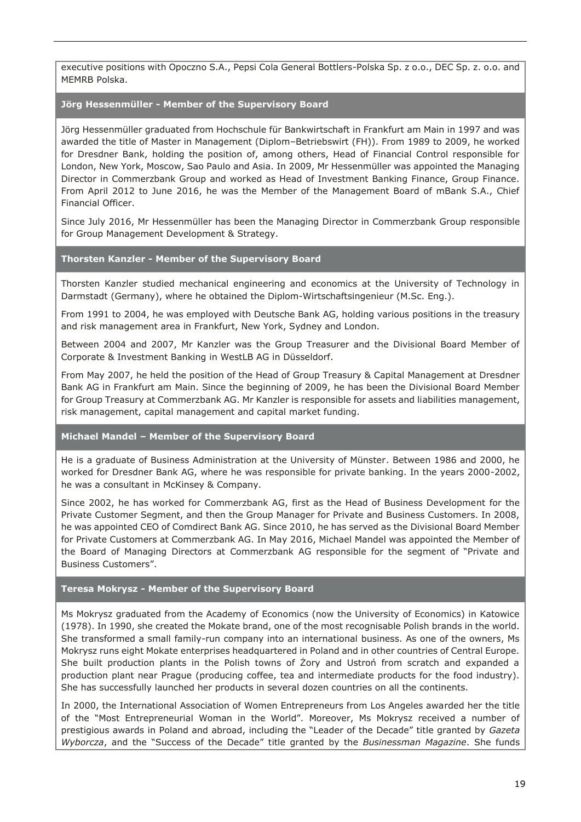executive positions with Opoczno S.A., Pepsi Cola General Bottlers-Polska Sp. z o.o., DEC Sp. z. o.o. and MEMRB Polska.

#### **Jörg Hessenmüller - Member of the Supervisory Board**

Jörg Hessenmüller graduated from Hochschule für Bankwirtschaft in Frankfurt am Main in 1997 and was awarded the title of Master in Management (Diplom–Betriebswirt (FH)). From 1989 to 2009, he worked for Dresdner Bank, holding the position of, among others, Head of Financial Control responsible for London, New York, Moscow, Sao Paulo and Asia. In 2009, Mr Hessenmüller was appointed the Managing Director in Commerzbank Group and worked as Head of Investment Banking Finance, Group Finance. From April 2012 to June 2016, he was the Member of the Management Board of mBank S.A., Chief Financial Officer.

Since July 2016, Mr Hessenmüller has been the Managing Director in Commerzbank Group responsible for Group Management Development & Strategy.

## **Thorsten Kanzler - Member of the Supervisory Board**

Thorsten Kanzler studied mechanical engineering and economics at the University of Technology in Darmstadt (Germany), where he obtained the Diplom-Wirtschaftsingenieur (M.Sc. Eng.).

From 1991 to 2004, he was employed with Deutsche Bank AG, holding various positions in the treasury and risk management area in Frankfurt, New York, Sydney and London.

Between 2004 and 2007, Mr Kanzler was the Group Treasurer and the Divisional Board Member of Corporate & Investment Banking in WestLB AG in Düsseldorf.

From May 2007, he held the position of the Head of Group Treasury & Capital Management at Dresdner Bank AG in Frankfurt am Main. Since the beginning of 2009, he has been the Divisional Board Member for Group Treasury at Commerzbank AG. Mr Kanzler is responsible for assets and liabilities management, risk management, capital management and capital market funding.

#### **Michael Mandel – Member of the Supervisory Board**

He is a graduate of Business Administration at the University of Münster. Between 1986 and 2000, he worked for Dresdner Bank AG, where he was responsible for private banking. In the years 2000-2002, he was a consultant in McKinsey & Company.

Since 2002, he has worked for Commerzbank AG, first as the Head of Business Development for the Private Customer Segment, and then the Group Manager for Private and Business Customers. In 2008, he was appointed CEO of Comdirect Bank AG. Since 2010, he has served as the Divisional Board Member for Private Customers at Commerzbank AG. In May 2016, Michael Mandel was appointed the Member of the Board of Managing Directors at Commerzbank AG responsible for the segment of "Private and Business Customers".

#### **Teresa Mokrysz - Member of the Supervisory Board**

Ms Mokrysz graduated from the Academy of Economics (now the University of Economics) in Katowice (1978). In 1990, she created the Mokate brand, one of the most recognisable Polish brands in the world. She transformed a small family-run company into an international business. As one of the owners, Ms Mokrysz runs eight Mokate enterprises headquartered in Poland and in other countries of Central Europe. She built production plants in the Polish towns of Żory and Ustroń from scratch and expanded a production plant near Prague (producing coffee, tea and intermediate products for the food industry). She has successfully launched her products in several dozen countries on all the continents.

In 2000, the International Association of Women Entrepreneurs from Los Angeles awarded her the title of the "Most Entrepreneurial Woman in the World". Moreover, Ms Mokrysz received a number of prestigious awards in Poland and abroad, including the "Leader of the Decade" title granted by *Gazeta Wyborcza*, and the "Success of the Decade" title granted by the *Businessman Magazine*. She funds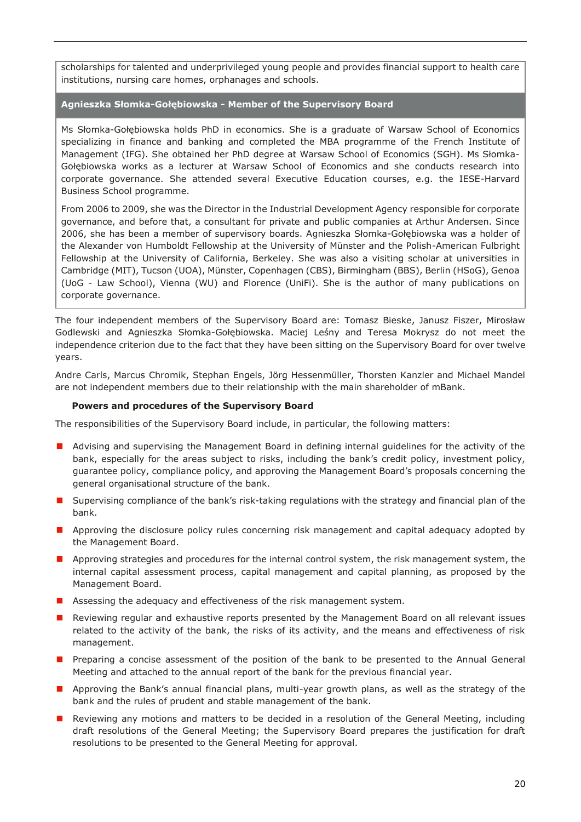scholarships for talented and underprivileged young people and provides financial support to health care institutions, nursing care homes, orphanages and schools.

**Agnieszka Słomka-Gołębiowska - Member of the Supervisory Board**

Ms Słomka-Gołębiowska holds PhD in economics. She is a graduate of Warsaw School of Economics specializing in finance and banking and completed the MBA programme of the French Institute of Management (IFG). She obtained her PhD degree at Warsaw School of Economics (SGH). Ms Słomka-Gołębiowska works as a lecturer at Warsaw School of Economics and she conducts research into corporate governance. She attended several Executive Education courses, e.g. the IESE-Harvard Business School programme.

From 2006 to 2009, she was the Director in the Industrial Development Agency responsible for corporate governance, and before that, a consultant for private and public companies at Arthur Andersen. Since 2006, she has been a member of supervisory boards. Agnieszka Słomka-Gołębiowska was a holder of the Alexander von Humboldt Fellowship at the University of Münster and the Polish-American Fulbright Fellowship at the University of California, Berkeley. She was also a visiting scholar at universities in Cambridge (MIT), Tucson (UOA), Münster, Copenhagen (CBS), Birmingham (BBS), Berlin (HSoG), Genoa (UoG - Law School), Vienna (WU) and Florence (UniFi). She is the author of many publications on corporate governance.

The four independent members of the Supervisory Board are: Tomasz Bieske, Janusz Fiszer, Mirosław Godlewski and Agnieszka Słomka-Gołębiowska. Maciej Leśny and Teresa Mokrysz do not meet the independence criterion due to the fact that they have been sitting on the Supervisory Board for over twelve years.

Andre Carls, Marcus Chromik, Stephan Engels, Jörg Hessenmüller, Thorsten Kanzler and Michael Mandel are not independent members due to their relationship with the main shareholder of mBank.

## **Powers and procedures of the Supervisory Board**

The responsibilities of the Supervisory Board include, in particular, the following matters:

- Advising and supervising the Management Board in defining internal guidelines for the activity of the bank, especially for the areas subject to risks, including the bank's credit policy, investment policy, guarantee policy, compliance policy, and approving the Management Board's proposals concerning the general organisational structure of the bank.
- **I** Supervising compliance of the bank's risk-taking regulations with the strategy and financial plan of the bank.
- **Approving the disclosure policy rules concerning risk management and capital adequacy adopted by** the Management Board.
- **Approving strategies and procedures for the internal control system, the risk management system, the** internal capital assessment process, capital management and capital planning, as proposed by the Management Board.
- **Assessing the adequacy and effectiveness of the risk management system.**
- **Reviewing regular and exhaustive reports presented by the Management Board on all relevant issues** related to the activity of the bank, the risks of its activity, and the means and effectiveness of risk management.
- **Preparing a concise assessment of the position of the bank to be presented to the Annual General** Meeting and attached to the annual report of the bank for the previous financial year.
- **Approving the Bank's annual financial plans, multi-year growth plans, as well as the strategy of the** bank and the rules of prudent and stable management of the bank.
- **Reviewing any motions and matters to be decided in a resolution of the General Meeting, including** draft resolutions of the General Meeting; the Supervisory Board prepares the justification for draft resolutions to be presented to the General Meeting for approval.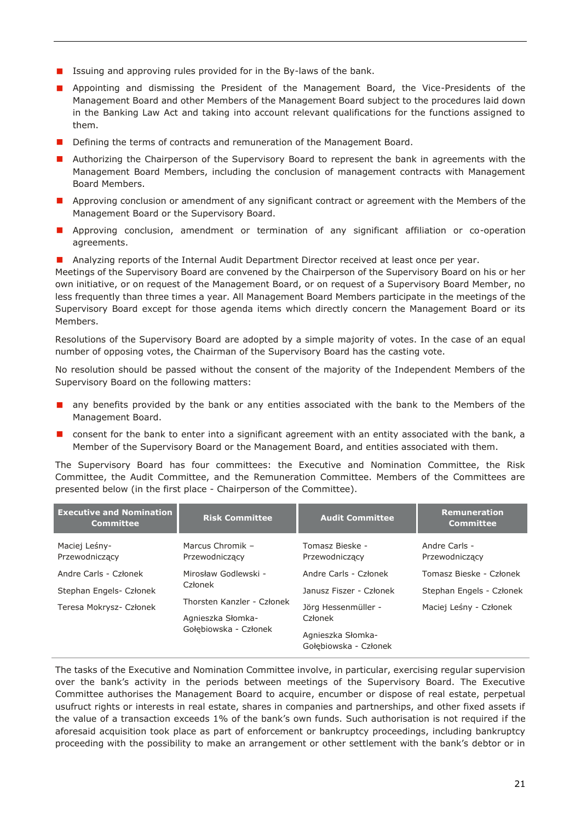- **I** Issuing and approving rules provided for in the By-laws of the bank.
- **Appointing and dismissing the President of the Management Board, the Vice-Presidents of the** Management Board and other Members of the Management Board subject to the procedures laid down in the Banking Law Act and taking into account relevant qualifications for the functions assigned to them.
- Defining the terms of contracts and remuneration of the Management Board.
- **Authorizing the Chairperson of the Supervisory Board to represent the bank in agreements with the** Management Board Members, including the conclusion of management contracts with Management Board Members.
- **Approving conclusion or amendment of any significant contract or agreement with the Members of the** Management Board or the Supervisory Board.
- **Approving conclusion, amendment or termination of any significant affiliation or co-operation** agreements.
- **Analyzing reports of the Internal Audit Department Director received at least once per year.**

Meetings of the Supervisory Board are convened by the Chairperson of the Supervisory Board on his or her own initiative, or on request of the Management Board, or on request of a Supervisory Board Member, no less frequently than three times a year. All Management Board Members participate in the meetings of the Supervisory Board except for those agenda items which directly concern the Management Board or its Members.

Resolutions of the Supervisory Board are adopted by a simple majority of votes. In the case of an equal number of opposing votes, the Chairman of the Supervisory Board has the casting vote.

No resolution should be passed without the consent of the majority of the Independent Members of the Supervisory Board on the following matters:

- **n** any benefits provided by the bank or any entities associated with the bank to the Members of the Management Board.
- $\blacksquare$  consent for the bank to enter into a significant agreement with an entity associated with the bank, a Member of the Supervisory Board or the Management Board, and entities associated with them.

The Supervisory Board has four committees: the Executive and Nomination Committee, the Risk Committee, the Audit Committee, and the Remuneration Committee. Members of the Committees are presented below (in the first place - Chairperson of the Committee).

| <b>Executive and Nomination</b><br><b>Committee</b> | <b>Risk Committee</b>                                                    | <b>Audit Committee</b>                                                       | <b>Remuneration</b><br><b>Committee</b> |
|-----------------------------------------------------|--------------------------------------------------------------------------|------------------------------------------------------------------------------|-----------------------------------------|
| Maciej Leśny-<br>Przewodniczący                     | Marcus Chromik -<br>Przewodniczący                                       | Tomasz Bieske -<br>Przewodniczący                                            | Andre Carls -<br>Przewodniczący         |
| Andre Carls - Członek                               | Mirosław Godlewski -                                                     | Andre Carls - Członek                                                        | Tomasz Bieske - Członek                 |
| Stephan Engels- Członek                             | Członek                                                                  | Janusz Fiszer - Członek                                                      | Stephan Engels - Członek                |
| Teresa Mokrysz- Członek                             | Thorsten Kanzler - Członek<br>Agnieszka Słomka-<br>Gołebiowska - Członek | Jörg Hessenmüller -<br>Członek<br>Agnieszka Słomka-<br>Gołebiowska - Członek | Maciej Leśny - Członek                  |

The tasks of the Executive and Nomination Committee involve, in particular, exercising regular supervision over the bank's activity in the periods between meetings of the Supervisory Board. The Executive Committee authorises the Management Board to acquire, encumber or dispose of real estate, perpetual usufruct rights or interests in real estate, shares in companies and partnerships, and other fixed assets if the value of a transaction exceeds 1% of the bank's own funds. Such authorisation is not required if the aforesaid acquisition took place as part of enforcement or bankruptcy proceedings, including bankruptcy proceeding with the possibility to make an arrangement or other settlement with the bank's debtor or in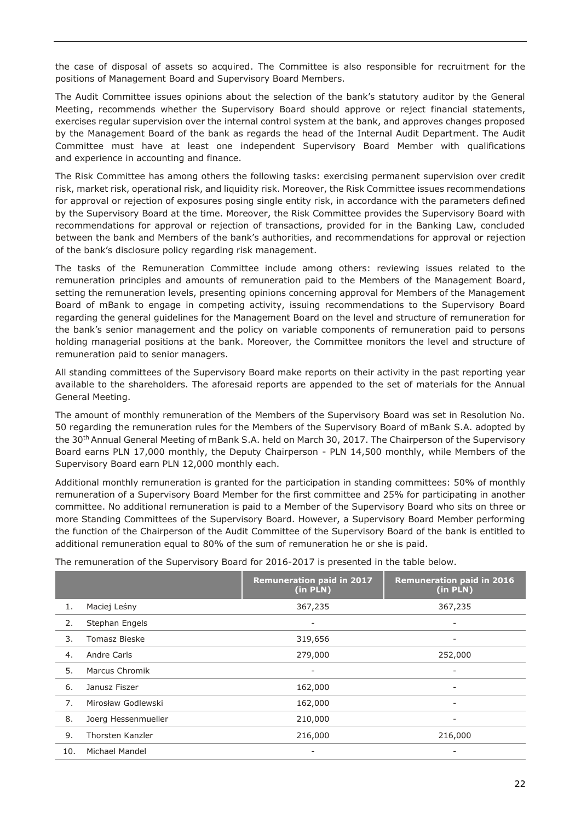the case of disposal of assets so acquired. The Committee is also responsible for recruitment for the positions of Management Board and Supervisory Board Members.

The Audit Committee issues opinions about the selection of the bank's statutory auditor by the General Meeting, recommends whether the Supervisory Board should approve or reject financial statements, exercises regular supervision over the internal control system at the bank, and approves changes proposed by the Management Board of the bank as regards the head of the Internal Audit Department. The Audit Committee must have at least one independent Supervisory Board Member with qualifications and experience in accounting and finance.

The Risk Committee has among others the following tasks: exercising permanent supervision over credit risk, market risk, operational risk, and liquidity risk. Moreover, the Risk Committee issues recommendations for approval or rejection of exposures posing single entity risk, in accordance with the parameters defined by the Supervisory Board at the time. Moreover, the Risk Committee provides the Supervisory Board with recommendations for approval or rejection of transactions, provided for in the Banking Law, concluded between the bank and Members of the bank's authorities, and recommendations for approval or rejection of the bank's disclosure policy regarding risk management.

The tasks of the Remuneration Committee include among others: reviewing issues related to the remuneration principles and amounts of remuneration paid to the Members of the Management Board, setting the remuneration levels, presenting opinions concerning approval for Members of the Management Board of mBank to engage in competing activity, issuing recommendations to the Supervisory Board regarding the general guidelines for the Management Board on the level and structure of remuneration for the bank's senior management and the policy on variable components of remuneration paid to persons holding managerial positions at the bank. Moreover, the Committee monitors the level and structure of remuneration paid to senior managers.

All standing committees of the Supervisory Board make reports on their activity in the past reporting year available to the shareholders. The aforesaid reports are appended to the set of materials for the Annual General Meeting.

The amount of monthly remuneration of the Members of the Supervisory Board was set in Resolution No. 50 regarding the remuneration rules for the Members of the Supervisory Board of mBank S.A. adopted by the 30th Annual General Meeting of mBank S.A. held on March 30, 2017. The Chairperson of the Supervisory Board earns PLN 17,000 monthly, the Deputy Chairperson - PLN 14,500 monthly, while Members of the Supervisory Board earn PLN 12,000 monthly each.

Additional monthly remuneration is granted for the participation in standing committees: 50% of monthly remuneration of a Supervisory Board Member for the first committee and 25% for participating in another committee. No additional remuneration is paid to a Member of the Supervisory Board who sits on three or more Standing Committees of the Supervisory Board. However, a Supervisory Board Member performing the function of the Chairperson of the Audit Committee of the Supervisory Board of the bank is entitled to additional remuneration equal to 80% of the sum of remuneration he or she is paid.

|     |                       | <b>Remuneration paid in 2017</b><br>(in PLN) | <b>Remuneration paid in 2016</b><br>(in PLN) |
|-----|-----------------------|----------------------------------------------|----------------------------------------------|
| 1.  | Maciej Leśny          | 367,235                                      | 367,235                                      |
| 2.  | Stephan Engels        |                                              |                                              |
| 3.  | <b>Tomasz Bieske</b>  | 319,656                                      | ۰                                            |
| 4.  | Andre Carls           | 279,000                                      | 252,000                                      |
| 5.  | <b>Marcus Chromik</b> | ۰                                            | -                                            |
| 6.  | Janusz Fiszer         | 162,000                                      | -                                            |
| 7.  | Mirosław Godlewski    | 162,000                                      |                                              |
| 8.  | Joerg Hessenmueller   | 210,000                                      | -                                            |
| 9.  | Thorsten Kanzler      | 216,000                                      | 216,000                                      |
| 10. | Michael Mandel        |                                              |                                              |

The remuneration of the Supervisory Board for 2016-2017 is presented in the table below.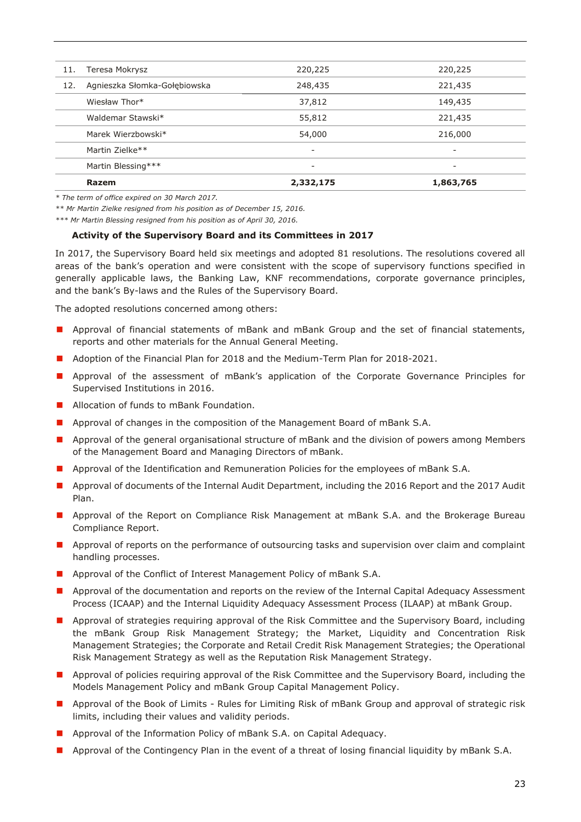|     | Razem                        | 2,332,175 | 1,863,765                |
|-----|------------------------------|-----------|--------------------------|
|     | Martin Blessing***           | -         | $\overline{\phantom{a}}$ |
|     | Martin Zielke**              | -         | $\overline{\phantom{0}}$ |
|     | Marek Wierzbowski*           | 54,000    | 216,000                  |
|     | Waldemar Stawski*            | 55,812    | 221,435                  |
|     | Wiesław Thor*                | 37,812    | 149,435                  |
| 12. | Agnieszka Słomka-Gołębiowska | 248,435   | 221,435                  |
| 11. | Teresa Mokrysz               | 220,225   | 220,225                  |

*\* The term of office expired on 30 March 2017.*

*\*\* Mr Martin Zielke resigned from his position as of December 15, 2016.*

*\*\*\* Mr Martin Blessing resigned from his position as of April 30, 2016.*

#### **Activity of the Supervisory Board and its Committees in 2017**

In 2017, the Supervisory Board held six meetings and adopted 81 resolutions. The resolutions covered all areas of the bank's operation and were consistent with the scope of supervisory functions specified in generally applicable laws, the Banking Law, KNF recommendations, corporate governance principles, and the bank's By-laws and the Rules of the Supervisory Board.

The adopted resolutions concerned among others:

- **Approval of financial statements of mBank and mBank Group and the set of financial statements,** reports and other materials for the Annual General Meeting.
- **Adoption of the Financial Plan for 2018 and the Medium-Term Plan for 2018-2021.**
- **Approval of the assessment of mBank's application of the Corporate Governance Principles for** Supervised Institutions in 2016.
- **Allocation of funds to mBank Foundation.**
- **Approval of changes in the composition of the Management Board of mBank S.A.**
- **Approval of the general organisational structure of mBank and the division of powers among Members** of the Management Board and Managing Directors of mBank.
- **Approval of the Identification and Remuneration Policies for the employees of mBank S.A.**
- **Approval of documents of the Internal Audit Department, including the 2016 Report and the 2017 Audit** Plan.
- **Approval of the Report on Compliance Risk Management at mBank S.A. and the Brokerage Bureau** Compliance Report.
- **Approval of reports on the performance of outsourcing tasks and supervision over claim and complaint** handling processes.
- **Approval of the Conflict of Interest Management Policy of mBank S.A.**
- **Approval of the documentation and reports on the review of the Internal Capital Adequacy Assessment** Process (ICAAP) and the Internal Liquidity Adequacy Assessment Process (ILAAP) at mBank Group.
- **Approval of strategies requiring approval of the Risk Committee and the Supervisory Board, including** the mBank Group Risk Management Strategy; the Market, Liquidity and Concentration Risk Management Strategies; the Corporate and Retail Credit Risk Management Strategies; the Operational Risk Management Strategy as well as the Reputation Risk Management Strategy.
- **Approval of policies requiring approval of the Risk Committee and the Supervisory Board, including the** Models Management Policy and mBank Group Capital Management Policy.
- **Approval of the Book of Limits Rules for Limiting Risk of mBank Group and approval of strategic risk** limits, including their values and validity periods.
- **Approval of the Information Policy of mBank S.A. on Capital Adequacy.**
- **Approval of the Contingency Plan in the event of a threat of losing financial liquidity by mBank S.A.**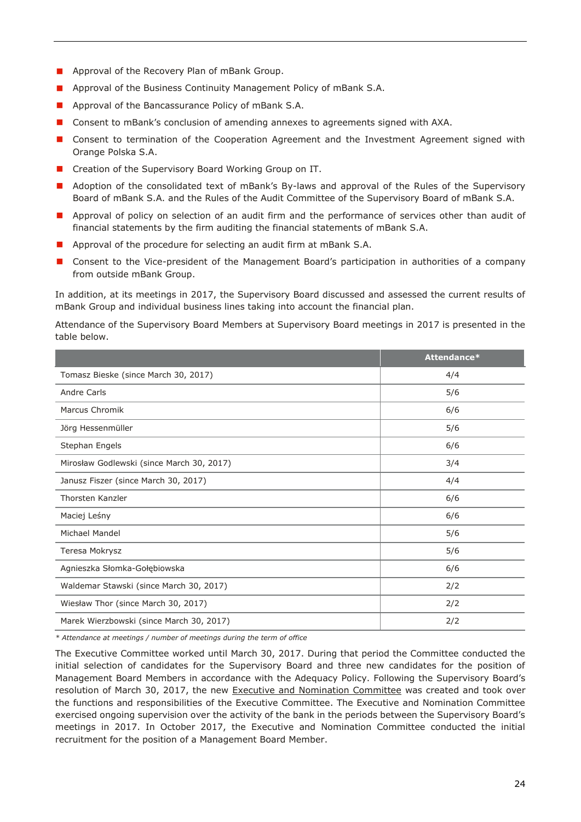- **Approval of the Recovery Plan of mBank Group.**
- **Approval of the Business Continuity Management Policy of mBank S.A.**
- **Approval of the Bancassurance Policy of mBank S.A.**
- Consent to mBank's conclusion of amending annexes to agreements signed with AXA.
- **OI** Consent to termination of the Cooperation Agreement and the Investment Agreement signed with Orange Polska S.A.
- Creation of the Supervisory Board Working Group on IT.
- **Adoption of the consolidated text of mBank's By-laws and approval of the Rules of the Supervisory** Board of mBank S.A. and the Rules of the Audit Committee of the Supervisory Board of mBank S.A.
- **Approval of policy on selection of an audit firm and the performance of services other than audit of** financial statements by the firm auditing the financial statements of mBank S.A.
- **Approval of the procedure for selecting an audit firm at mBank S.A.**
- **Consent to the Vice-president of the Management Board's participation in authorities of a company** from outside mBank Group.

In addition, at its meetings in 2017, the Supervisory Board discussed and assessed the current results of mBank Group and individual business lines taking into account the financial plan.

Attendance of the Supervisory Board Members at Supervisory Board meetings in 2017 is presented in the table below.

|                                           | Attendance* |
|-------------------------------------------|-------------|
| Tomasz Bieske (since March 30, 2017)      | 4/4         |
| <b>Andre Carls</b>                        | 5/6         |
| Marcus Chromik                            | 6/6         |
| Jörg Hessenmüller                         | 5/6         |
| Stephan Engels                            | 6/6         |
| Mirosław Godlewski (since March 30, 2017) | 3/4         |
| Janusz Fiszer (since March 30, 2017)      | 4/4         |
| Thorsten Kanzler                          | 6/6         |
| Maciej Leśny                              | 6/6         |
| Michael Mandel                            | 5/6         |
| Teresa Mokrysz                            | 5/6         |
| Agnieszka Słomka-Gołębiowska              | 6/6         |
| Waldemar Stawski (since March 30, 2017)   | 2/2         |
| Wiesław Thor (since March 30, 2017)       | 2/2         |
| Marek Wierzbowski (since March 30, 2017)  | 2/2         |

*\* Attendance at meetings / number of meetings during the term of office* 

The Executive Committee worked until March 30, 2017. During that period the Committee conducted the initial selection of candidates for the Supervisory Board and three new candidates for the position of Management Board Members in accordance with the Adequacy Policy. Following the Supervisory Board's resolution of March 30, 2017, the new Executive and Nomination Committee was created and took over the functions and responsibilities of the Executive Committee. The Executive and Nomination Committee exercised ongoing supervision over the activity of the bank in the periods between the Supervisory Board's meetings in 2017. In October 2017, the Executive and Nomination Committee conducted the initial recruitment for the position of a Management Board Member.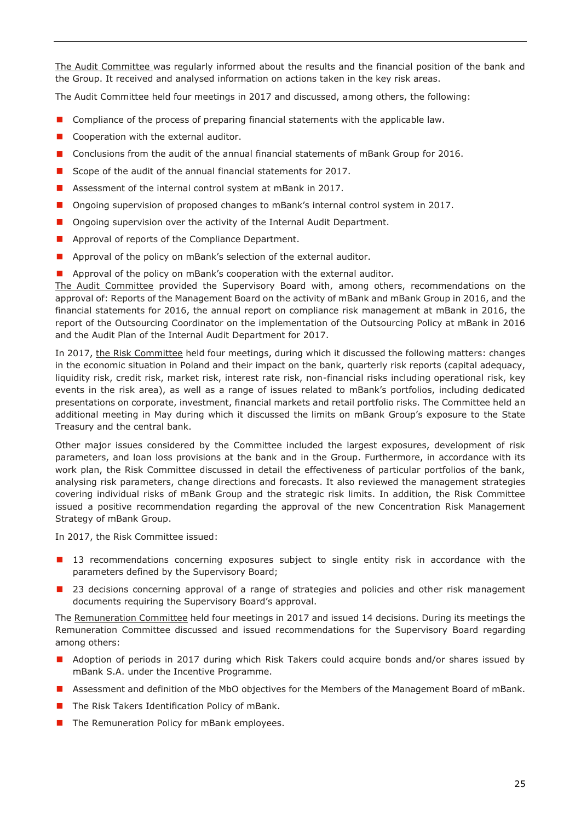The Audit Committee was regularly informed about the results and the financial position of the bank and the Group. It received and analysed information on actions taken in the key risk areas.

The Audit Committee held four meetings in 2017 and discussed, among others, the following:

- **O** Compliance of the process of preparing financial statements with the applicable law.
- Cooperation with the external auditor.
- **Conclusions from the audit of the annual financial statements of mBank Group for 2016.**
- Scope of the audit of the annual financial statements for 2017.
- Assessment of the internal control system at mBank in 2017.
- **Ongoing supervision of proposed changes to mBank's internal control system in 2017.**
- Ongoing supervision over the activity of the Internal Audit Department.
- **Approval of reports of the Compliance Department.**
- **Approval of the policy on mBank's selection of the external auditor.**
- Approval of the policy on mBank's cooperation with the external auditor.

The Audit Committee provided the Supervisory Board with, among others, recommendations on the approval of: Reports of the Management Board on the activity of mBank and mBank Group in 2016, and the financial statements for 2016, the annual report on compliance risk management at mBank in 2016, the report of the Outsourcing Coordinator on the implementation of the Outsourcing Policy at mBank in 2016 and the Audit Plan of the Internal Audit Department for 2017.

In 2017, the Risk Committee held four meetings, during which it discussed the following matters: changes in the economic situation in Poland and their impact on the bank, quarterly risk reports (capital adequacy, liquidity risk, credit risk, market risk, interest rate risk, non-financial risks including operational risk, key events in the risk area), as well as a range of issues related to mBank's portfolios, including dedicated presentations on corporate, investment, financial markets and retail portfolio risks. The Committee held an additional meeting in May during which it discussed the limits on mBank Group's exposure to the State Treasury and the central bank.

Other major issues considered by the Committee included the largest exposures, development of risk parameters, and loan loss provisions at the bank and in the Group. Furthermore, in accordance with its work plan, the Risk Committee discussed in detail the effectiveness of particular portfolios of the bank, analysing risk parameters, change directions and forecasts. It also reviewed the management strategies covering individual risks of mBank Group and the strategic risk limits. In addition, the Risk Committee issued a positive recommendation regarding the approval of the new Concentration Risk Management Strategy of mBank Group.

In 2017, the Risk Committee issued:

- 13 recommendations concerning exposures subject to single entity risk in accordance with the parameters defined by the Supervisory Board;
- 23 decisions concerning approval of a range of strategies and policies and other risk management documents requiring the Supervisory Board's approval.

The Remuneration Committee held four meetings in 2017 and issued 14 decisions. During its meetings the Remuneration Committee discussed and issued recommendations for the Supervisory Board regarding among others:

- **Adoption of periods in 2017 during which Risk Takers could acquire bonds and/or shares issued by** mBank S.A. under the Incentive Programme.
- **Assessment and definition of the MbO objectives for the Members of the Management Board of mBank.**
- The Risk Takers Identification Policy of mBank.
- $\blacksquare$  The Remuneration Policy for mBank employees.